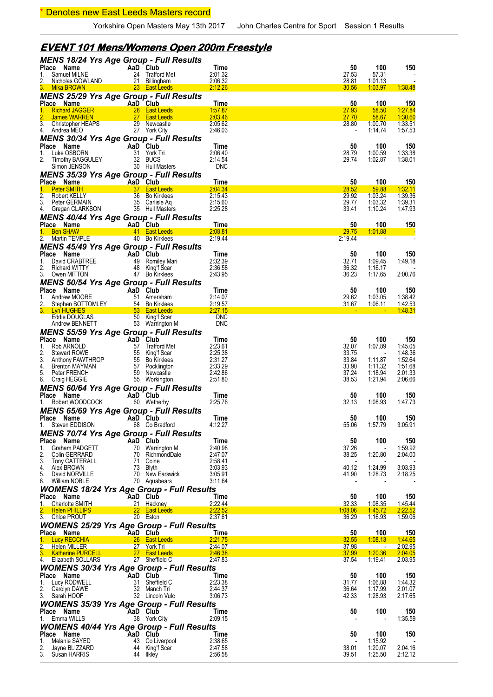### \* Denotes new East Leeds Masters record

# **EVENT 101 Mens/Womens Open 200m Freestyle**

| <b>MENS 18/24 Yrs Age Group - Full Results</b>                                                                                                                                                                                                       |                                                                                |                          |                  |                    |                       |
|------------------------------------------------------------------------------------------------------------------------------------------------------------------------------------------------------------------------------------------------------|--------------------------------------------------------------------------------|--------------------------|------------------|--------------------|-----------------------|
| Place Name<br>Samuel MILNE<br>1.                                                                                                                                                                                                                     | AaD Club<br>24 Trafford Met                                                    | <b>Time</b><br>2:01.32   | 50<br>27.53      | 100<br>57.31       | 150                   |
| 2.<br>Nicholas GOWLAND                                                                                                                                                                                                                               | 21 Billingham                                                                  | 2:06.32                  | 28.81            | 1:01.13            |                       |
| 3. Mika BROWN                                                                                                                                                                                                                                        | 23 East Leeds                                                                  | 2:12.26                  | 30.56            | 1:03.97            | 1:38.48               |
| <b>MENS 25/29 Yrs Age Group - Full Results</b>                                                                                                                                                                                                       |                                                                                |                          |                  |                    |                       |
| Place Name<br>we Name<br>Richard JAGGER<br>James WARREN 28 East Leeds<br>James WARREN 27 East Leeds<br>Christopher UE 15 Christopher UE 15 27 East Leeds                                                                                             |                                                                                | Time                     | 50               | 100                | <u>150</u>            |
| 1.                                                                                                                                                                                                                                                   |                                                                                | 1:57.87<br>2:03.46       | 27.93<br>27.70   | 58.50<br>58.67     | 1:27.84<br>1:30.60    |
| 3. Christopher HEAPS 29 Newcastle<br>4 Andrea MFO 27 York City                                                                                                                                                                                       |                                                                                | 2:05.62                  | 28.80            | 1:00.70            | 1:33.51               |
| 4. Andrea MEO                                                                                                                                                                                                                                        | 27 York City                                                                   | 2:46.03                  |                  | 1:14.74            | 1:57.53               |
| MENS 30/34 Yrs Age Group - Full Results                                                                                                                                                                                                              |                                                                                |                          |                  |                    |                       |
| Place Name<br>Luke OSBORN<br>1.                                                                                                                                                                                                                      | AaD Club<br>31 York Tri                                                        | Time<br>2:06.40          | 50<br>28.79      | 100<br>1:00.59     | 150<br>1:33.38        |
| 2.                                                                                                                                                                                                                                                   | 32 BUCS                                                                        | 2:14.54                  | 29.74            | 1:02.87            | 1:38.01               |
| Timothy BAGGULEY<br>Simon JENSON<br>Simon JENSON                                                                                                                                                                                                     | 30 Hull Masters                                                                | <b>DNC</b>               |                  |                    |                       |
| <b>MENS 35/39 Yrs Age Group - Full Results</b>                                                                                                                                                                                                       |                                                                                |                          |                  |                    |                       |
| Place Name                                                                                                                                                                                                                                           | <b>AaD</b> Club<br><b>AaD</b> Club<br><b>AaD</b> Club Club Club Club Club Club | Time                     | 50               | 100                | <u> 150</u>           |
| 1. Peter SMITH<br>Ce Nature<br>  <mark>Peter SMITH<br/>  Robert KELLY</mark><br>  CERMAIN<br>2.                                                                                                                                                      | 36 Bo Kirklees                                                                 | 2:04.34<br>2:15.43       | 28.52<br>29.92   | 59.88<br>1:03.24   | 1:32.11<br>1:39.36    |
| 3. Peter GERMAIN                                                                                                                                                                                                                                     | 35 Carlisle Aq                                                                 | 2:15.60                  | 29.77            | 1:03.32            | 1:39.31               |
| 4. Gregan CLARKSON                                                                                                                                                                                                                                   | 35 Hull Masters                                                                | 2:25.28                  | 33.41            | 1:10.24            | 1:47.93               |
| MENS 40/44 Yrs Age Group - Full Results                                                                                                                                                                                                              |                                                                                |                          |                  |                    |                       |
| Place Name<br><b>Example 2</b> AaD Club                                                                                                                                                                                                              |                                                                                | Time                     | 50               | 100                | <u>150</u>            |
| 1. Ben SHAW 41 East Leeds<br>2. Martin TEMPLE                                                                                                                                                                                                        | 40 Bo Kirklees                                                                 | 2:08.81<br>2:19.44       | 29.75<br>2:19.44 | 1:01.88            | - 5                   |
| MENS 45/49 Yrs Age Group - Full Results                                                                                                                                                                                                              |                                                                                |                          |                  |                    |                       |
| Place Name                                                                                                                                                                                                                                           | AaD Club                                                                       | Time                     | 50               | 100                | 150                   |
| David CRABTREE<br>1.                                                                                                                                                                                                                                 | 49 Romiley Mari                                                                | 2:32.39                  | 32.71            | 1:09.45            | 1:49.18               |
| 2.<br><b>Richard WITTY</b>                                                                                                                                                                                                                           | 48 King'f Scar                                                                 | 2:36.58                  | 36.32            | 1:16.17            |                       |
| 3. Owen MITTON                                                                                                                                                                                                                                       | 47 Bo Kirklees                                                                 | 2:43.95                  | 36.23            | 1:17.65            | 2:00.76               |
| MENS 50/54 Yrs Age Group - Full Results<br>Place Name                                                                                                                                                                                                |                                                                                | Time                     | 50               | 100                | 150                   |
| COMPARE CONSUMING THE CONSUMING SEPTER THREE SECTIONS CONSUMING SALE UP TO SALE CONSUMING THE CONSUMING SALE CONSUMING SALE CONSUMING SALE CONSUMING SALE CONSUMING SALE CONSUMING SALE CONSUMING SALE CONSUMING SALE CONSUMIN<br>Andrew MOORE<br>1. |                                                                                | 2:14.07                  | 29.62            | 1:03.05            | 1:38.42               |
| <u>2.</u>                                                                                                                                                                                                                                            |                                                                                | 2:19.57                  | 31.67            | <u>1:06.11</u>     | 1:42.53               |
| 3. Lyn HUGHES                                                                                                                                                                                                                                        |                                                                                | 2:27.15                  |                  |                    | 1:48.31               |
| Eddie DOUGLAS<br>Andrew BENNETT                                                                                                                                                                                                                      | 50 King'f Scar<br>53 Warrington M                                              | <b>DNC</b><br><b>DNC</b> |                  |                    |                       |
| <b>MENS 55/59 Yrs Age Group - Full Results</b>                                                                                                                                                                                                       |                                                                                |                          |                  |                    |                       |
| Place Name                                                                                                                                                                                                                                           | AaD Club                                                                       | Time                     | 50               | 100                | 150                   |
| Rob ARNOLD<br>1.                                                                                                                                                                                                                                     | 57 Trafford Met                                                                | 2:23.61                  | 32.07            | 1:07.89            | 1:45.05               |
| 2.                                                                                                                                                                                                                                                   | 55 King'f Scar                                                                 | 2:25.38                  | 33.75            |                    | 1:48.36               |
| Anthony FAWTHROP<br>Brenton MAYMAN<br>Peter FRENCU<br>3.<br>4.                                                                                                                                                                                       | 55 Bo Kirklees<br>57 Pocklington                                               | 2:31.27<br>2:33.29       | 33.84<br>33.90   | 1:11.87<br>1:11.32 | 1:52.64<br>1:51.68    |
| 5. Peter FRENCH                                                                                                                                                                                                                                      | 59 Newcastle                                                                   | 2:42.86                  | 37.24            | 1:18.94            | 2:01.33               |
| 6. Craig HEGGIE                                                                                                                                                                                                                                      | 55 Workington                                                                  | 2:51.80                  | 38.53            | 1:21.94            | 2:06.66               |
| <b>MENS 60/64 Yrs Age Group - Full Results</b>                                                                                                                                                                                                       |                                                                                |                          |                  |                    |                       |
| Place Name                                                                                                                                                                                                                                           | AaD Club                                                                       | Time                     | 50               | 100                | 150                   |
| 1. Robert WOODCOCK                                                                                                                                                                                                                                   | 60 Wetherby                                                                    | 2:25.76                  | 32.13            | 1:08.93            | 1:47.73               |
| <b>MENS 65/69 Yrs Age Group - Full Results</b><br>Place Name                                                                                                                                                                                         | AaD Club                                                                       | Time                     | 50               | 100                | 150                   |
| 1. Steven EDDISON                                                                                                                                                                                                                                    | 68 Co Bradford                                                                 | 4:12.27                  | 55.06            | 1:57.79            | 3:05.91               |
| <b>MENS 70/74 Yrs Age Group - Full Results</b>                                                                                                                                                                                                       |                                                                                |                          |                  |                    |                       |
| Place Name                                                                                                                                                                                                                                           | AaD Club                                                                       | Time                     | 50               | 100                | 150                   |
| Graham PADGETT<br>1.                                                                                                                                                                                                                                 | 70 Warrington M                                                                | 2:40.98                  | 37.26            |                    | 1:59.92               |
| 2.<br>Colin GERRARD<br>3.<br>Tony CATTERALL                                                                                                                                                                                                          | 70 RichmondDale<br>71 Colne                                                    | 2:47.07<br>2:58.41       | 38.25            | 1:20.80            | 2:04.00               |
| 4.<br>Alex BROWN                                                                                                                                                                                                                                     | 73 Blyth                                                                       | 3:03.93                  | 40.12            | 1:24.99            | 3:03.93               |
| 5.<br>David NORVILLE                                                                                                                                                                                                                                 | 70 New Earswick                                                                | 3:05.91                  | 41.90            | 1:28.73            | 2:18.25               |
| 6. William NOBLE                                                                                                                                                                                                                                     | 70 Aquabears                                                                   | 3:11.64                  |                  |                    |                       |
| <b>WOMENS 18/24 Yrs Age Group - Full Results</b>                                                                                                                                                                                                     |                                                                                |                          |                  |                    |                       |
| Place Name<br><b>Charlotte SMITH</b><br>1.                                                                                                                                                                                                           | AaD Club<br>21 Hackney                                                         | Time<br>2:22.44          | 50<br>32.33      | 100<br>1:08.35     | 150<br>1:45.44        |
| 2. Helen PHILLIPS                                                                                                                                                                                                                                    | 22 East Leeds                                                                  | 2:22.52                  | 1:08.06          | 1:45.72            | 2:22.52               |
| 3. Chloe PROUT                                                                                                                                                                                                                                       | 20 Eston                                                                       | 2:37.61                  | 36.29            | 1:16.93            | 1:59.06               |
| <b>WOMENS 25/29 Yrs Age Group - Full Results</b>                                                                                                                                                                                                     |                                                                                |                          |                  |                    |                       |
| Place Name<br>1. Lucy RECCHIA                                                                                                                                                                                                                        | AaD Club<br>26 East Leeds                                                      | Time<br>2:21.75          | 50<br>32.55      | 100<br>1:08.13     | <u>150</u><br>1:44.65 |
| 2.<br>Helen MILLER                                                                                                                                                                                                                                   | 27 York Tri                                                                    | 2:44.07                  | 37.98            |                    | 2:02.95               |
| 3. Katherine PURCELL                                                                                                                                                                                                                                 | 27 East Leeds                                                                  | 2:46.38                  | 37.99            | 1:20.36            | 2:04.05               |
| 4. Elizabeth SOLLARS                                                                                                                                                                                                                                 | 27 Sheffield C                                                                 | 2:47.83                  | 37.54            | 1:19.41            | 2:03.95               |
| <b>WOMENS 30/34 Yrs Age Group - Full Results</b>                                                                                                                                                                                                     |                                                                                |                          |                  |                    |                       |
| Place Name<br>Lucy RODWELL<br>1.                                                                                                                                                                                                                     | AaD Club<br>31 Sheffield C                                                     | Time<br>2:23.38          | 50<br>31.77      | 100<br>1:06.88     | 150<br>1:44.32        |
| 2.<br>Carolyn DAWE                                                                                                                                                                                                                                   | 32 Manch Tri                                                                   | 2:44.37                  | 36.64            | 1:17.99            | 2:01.07               |
| 3.<br>Sarah HOOF                                                                                                                                                                                                                                     | 32 Lincoln Vulc                                                                | 3:06.73                  | 42.33            | 1:28.93            | 2:17.65               |
| <b>WOMENS 35/39 Yrs Age Group - Full Results</b>                                                                                                                                                                                                     |                                                                                |                          |                  |                    |                       |
| Place Name                                                                                                                                                                                                                                           | AaD Club                                                                       | Time                     | 50               | 100                | 150                   |
| 1. Emma WILLS                                                                                                                                                                                                                                        | 38 York City                                                                   | 2:09.15                  |                  |                    | 1:35.59               |
| <b>WOMENS 40/44 Yrs Age Group - Full Results</b>                                                                                                                                                                                                     | AaD Club                                                                       | Time                     | 50               | 100                | 150                   |
| Place Name<br>Melanie SAYED<br>1.                                                                                                                                                                                                                    | 43 Co Liverpool                                                                | 2:38.65                  |                  | 1:15.92            |                       |
| 2.<br>Jayne BLIZZARD                                                                                                                                                                                                                                 | 44 King'f Scar                                                                 | 2:47.58                  | 38.01            | 1:20.07            | 2:04.16               |
| 3.<br>Susan HARRIS                                                                                                                                                                                                                                   | 44 Ilkley                                                                      | 2:56.58                  | 39.51            | 1:25.50            | 2:12.12               |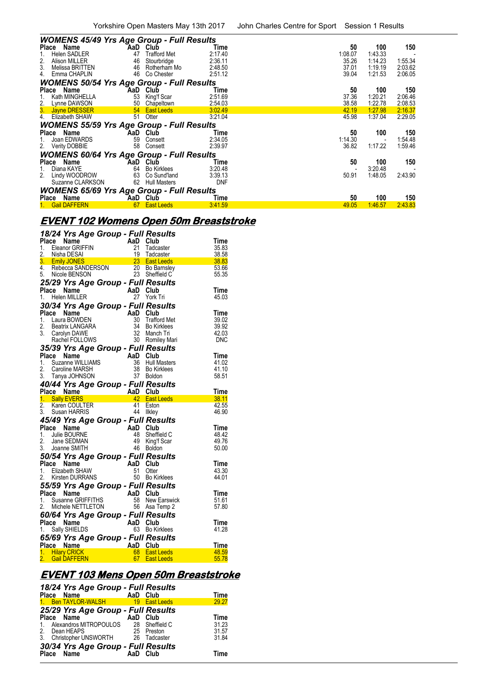| <b>WOMENS 45/49 Yrs Age Group - Full Results</b>                |     |                     |                 |             |                |         |
|-----------------------------------------------------------------|-----|---------------------|-----------------|-------------|----------------|---------|
| Place Name                                                      | AaD | Club                | Time            | 50          | 100            | 150     |
| Helen SADLER<br>1.                                              | 47  | <b>Trafford Met</b> | 2:17.40         | 1:08.07     | 1:43.33        |         |
| 2.<br>Alison MILLER                                             | 46  | Stourbridge         | 2:36.11         | 35.26       | 1:14.23        | 1:55.34 |
| 3.<br>Melissa BRITTEN                                           | 46  | Rotherham Mo        | 2:48.50         | 37.01       | 1:19.19        | 2:03.62 |
| Emma CHAPLIN<br>4.                                              | 46  | Co Chester          | 2:51.12         | 39.04       | 1:21.53        | 2:06.05 |
| <b>WOMENS 50/54 Yrs Age Group - Full Results</b>                |     |                     |                 |             |                |         |
| Place Name                                                      |     | AaD Club            | Time            | 50          | 100            | 150     |
| Kath MINGHELLA                                                  | 53  | King'f Scar         | 2:51.69         | 37.36       | 1:20.21        | 2:06.46 |
|                                                                 | 50  | Chapeltown          | 2:54.03         | 38.58       | 1:22.78        | 2:08.53 |
| 2. Lynne DAWSON<br><b>3.</b> Jayne DRESSER<br>4. Elizabeth SHAW |     | 54 East Leeds       | 3:02.49         | 42.19       | 1:27.98        | 2:16.37 |
|                                                                 | 51  | Otter               | 3:21.04         | 45.98       | 1:37.04        | 2:29.05 |
| <b>WOMENS 55/59 Yrs Age Group - Full Results</b>                |     |                     |                 |             |                |         |
| Place Name                                                      | AaD | Club                | Time            | 50          | 100            | 150     |
| Joan EDWARDS<br>1.                                              | 59  | Consett             | 2:34.05         | 1:14.30     |                | 1:54.48 |
| 2.<br>Verity DOBBIE                                             | 58  | Consett             | 2:39.97         | 36.82       | 1:17.22        | 1:59.46 |
| <b>WOMENS 60/64 Yrs Age Group - Full Results</b>                |     |                     |                 |             |                |         |
| Place Name                                                      | AaD | Club                | Time            | 50          | 100            | 150     |
| 1.<br>Diana KAYE                                                | 64  | <b>Bo Kirklees</b>  | 3:20.48         |             | 3:20.48        |         |
| 2.<br>Lindy WOODROW                                             | 63  | Co Sund'land        | 3:39.13         | 50.91       | 1:48.05        | 2:43.90 |
| Suzanne CLARKSON                                                | 62  | <b>Hull Masters</b> | <b>DNF</b>      |             |                |         |
| <b>WOMENS 65/69 Yrs Age Group - Full Results</b>                |     |                     |                 |             |                |         |
|                                                                 |     |                     |                 |             |                |         |
| Place Name<br><b>Gail DAFFERN</b>                               | 67  | AaD Club            | Time<br>3:41.59 | 50<br>49.05 | 100<br>1:46.57 | 150     |
| 1.                                                              |     | <b>East Leeds</b>   |                 |             |                | 2:43.83 |

# **EVENT 102 Womens Open 50m Breaststroke**

|    |       | 18/24 Yrs Age Group - Full Results<br><b>18/24 Yrs Age Crook</b><br><b>Place Name</b><br>1. Eleanor GRIFFIN 21 Tadcaster<br>2. Nisha DESAI 19 Tadcaster<br>3. Emily JONES 23 Saterleds<br>4. Rebecca SANDERSON 20 Bo Barnsley<br>5. Nighta RFNSON 23 Sheffield C<br>23 Saterled C<br>23 Saterl |                       |                                                         |                                                                                                                                                     |                |
|----|-------|------------------------------------------------------------------------------------------------------------------------------------------------------------------------------------------------------------------------------------------------------------------------------------------------|-----------------------|---------------------------------------------------------|-----------------------------------------------------------------------------------------------------------------------------------------------------|----------------|
|    |       |                                                                                                                                                                                                                                                                                                |                       |                                                         |                                                                                                                                                     | Time           |
|    |       |                                                                                                                                                                                                                                                                                                |                       |                                                         |                                                                                                                                                     | 35.83          |
|    |       |                                                                                                                                                                                                                                                                                                |                       |                                                         |                                                                                                                                                     | 38.58          |
|    |       |                                                                                                                                                                                                                                                                                                |                       |                                                         |                                                                                                                                                     | 38.83<br>53.66 |
|    |       |                                                                                                                                                                                                                                                                                                |                       |                                                         |                                                                                                                                                     | 55.35          |
|    |       |                                                                                                                                                                                                                                                                                                |                       |                                                         |                                                                                                                                                     |                |
|    |       | 25/29 Yrs Age Group - Full Results                                                                                                                                                                                                                                                             |                       |                                                         |                                                                                                                                                     |                |
|    |       | Place Name                                                                                                                                                                                                                                                                                     |                       | AaD Club                                                |                                                                                                                                                     | Time           |
| 1. |       | Helen MILLER                                                                                                                                                                                                                                                                                   |                       |                                                         | 27 York Tri                                                                                                                                         | 45.03          |
|    |       | 30/34 Yrs Age Group - Full Results                                                                                                                                                                                                                                                             |                       |                                                         |                                                                                                                                                     |                |
|    | Place | Name                                                                                                                                                                                                                                                                                           |                       | $A$ <b>aD</b> Club<br>30 Traffo<br>34 Bo Kir<br>32 Mand |                                                                                                                                                     | Time           |
|    |       | 1. Laura BOWDEN                                                                                                                                                                                                                                                                                |                       |                                                         | <b>Trafford Met</b>                                                                                                                                 | 39.02          |
| 2. |       | Beatrix LANGARA                                                                                                                                                                                                                                                                                |                       |                                                         | <b>Bo Kirklees</b>                                                                                                                                  | 39.92          |
| 3. |       | Carolyn DAWE                                                                                                                                                                                                                                                                                   |                       |                                                         | Manch Tri                                                                                                                                           | 42.03          |
|    |       | Rachel FOLLOWS                                                                                                                                                                                                                                                                                 |                       |                                                         | 30 Romiley Mari                                                                                                                                     | <b>DNC</b>     |
|    |       | 35/39 Yrs Age Group - Full Results                                                                                                                                                                                                                                                             |                       |                                                         |                                                                                                                                                     |                |
|    |       | Place Name<br>1. Suzanne WILLIAMS<br>2. Caroline MARSH<br>3. Tanya JOHNSON<br>3. Tanya JOHNSON<br>3. Tanya JOHNSON<br>3. Tanya JOHNSON<br>3. Boldon                                                                                                                                            |                       |                                                         |                                                                                                                                                     | Time           |
|    |       |                                                                                                                                                                                                                                                                                                |                       |                                                         | <b>Hull Masters</b>                                                                                                                                 | 41.02          |
|    |       |                                                                                                                                                                                                                                                                                                |                       |                                                         | <b>Bo Kirklees</b>                                                                                                                                  | 41.10          |
|    |       |                                                                                                                                                                                                                                                                                                |                       |                                                         |                                                                                                                                                     | 58.51          |
|    |       | 40/44 Yrs Age Group - Full Results                                                                                                                                                                                                                                                             |                       |                                                         |                                                                                                                                                     |                |
|    |       | Place Name                                                                                                                                                                                                                                                                                     |                       |                                                         | Press, Many Club<br>Many 42 East Leeds<br>ER 41 Eston<br>A4 Ilklev                                                                                  | <b>Time</b>    |
|    |       | 1. Sally EVERS                                                                                                                                                                                                                                                                                 |                       |                                                         |                                                                                                                                                     | 38.11          |
| 2. |       | Karen COULTER                                                                                                                                                                                                                                                                                  |                       |                                                         |                                                                                                                                                     | 42.55          |
|    |       | 3. Susan HARRIS                                                                                                                                                                                                                                                                                |                       |                                                         | 44 Ilkley                                                                                                                                           | 46.90          |
|    |       | 45/49 Yrs Age Group - Full Results                                                                                                                                                                                                                                                             |                       |                                                         |                                                                                                                                                     |                |
|    | Place | Name                                                                                                                                                                                                                                                                                           |                       | AaD Club                                                |                                                                                                                                                     | Time           |
|    |       | 1. Julie BOURNE                                                                                                                                                                                                                                                                                |                       | 48                                                      | Sheffield C                                                                                                                                         | 48.42          |
|    |       | 2. Jane SEDMAN                                                                                                                                                                                                                                                                                 |                       | 49                                                      | King'f Scar                                                                                                                                         | 49.76          |
|    |       | 3. Joanne SMITH                                                                                                                                                                                                                                                                                |                       |                                                         | 46 Boldon                                                                                                                                           | 50.00          |
|    |       | 50/54 Yrs Age Group - Full Results                                                                                                                                                                                                                                                             |                       |                                                         |                                                                                                                                                     |                |
|    |       | Place Name                                                                                                                                                                                                                                                                                     | an Salah<br>Kabupatèn | AaD Club                                                |                                                                                                                                                     | Time           |
|    |       | 1. Elizabeth SHAW                                                                                                                                                                                                                                                                              |                       | 51                                                      | Otter                                                                                                                                               | 43.30          |
|    |       | 2. Kirsten DURRANS                                                                                                                                                                                                                                                                             |                       |                                                         | 50 Bo Kirklees                                                                                                                                      | 44.01          |
|    |       |                                                                                                                                                                                                                                                                                                |                       |                                                         |                                                                                                                                                     |                |
|    |       |                                                                                                                                                                                                                                                                                                |                       |                                                         |                                                                                                                                                     |                |
|    |       |                                                                                                                                                                                                                                                                                                |                       |                                                         |                                                                                                                                                     | Time           |
|    |       |                                                                                                                                                                                                                                                                                                |                       |                                                         | New Earswick                                                                                                                                        | 51.61          |
|    |       |                                                                                                                                                                                                                                                                                                |                       |                                                         | <b>55/59 Yrs Age Group - Full Results<br/> Place Name AaD Club<br/> 1. Susanne GRIFFITHS 58 New Earswic<br/> 2. Michele NETTLETON 56 Asa Temp 2</b> | 57.80          |
|    |       |                                                                                                                                                                                                                                                                                                |                       |                                                         |                                                                                                                                                     |                |
|    |       | 60/64 Yrs Age Group - Full Results<br>Place Name                                                                                                                                                                                                                                               |                       | AaD Club                                                |                                                                                                                                                     | Time           |
|    |       | 1. Sally SHIELDS                                                                                                                                                                                                                                                                               | an Pa                 |                                                         | 63 Bo Kirklees                                                                                                                                      | 41.28          |
|    |       |                                                                                                                                                                                                                                                                                                |                       |                                                         |                                                                                                                                                     |                |
|    |       | 65/69 Yrs Age Group - Full Results                                                                                                                                                                                                                                                             |                       | AaD Club                                                |                                                                                                                                                     |                |
|    |       | Place Name<br>1. Hilary CRICK                                                                                                                                                                                                                                                                  |                       |                                                         | 68 East Leeds                                                                                                                                       | Time<br>48.59  |
|    |       | 2. Gail DAFFERN                                                                                                                                                                                                                                                                                |                       |                                                         | AaD Club<br>68 East Leeds<br>67 East Leeds                                                                                                          | 55.78          |

## **EVENT 103 Mens Open 50m Breaststroke**

|         | 18/24 Yrs Age Group - Full Results    |          |                   |             |
|---------|---------------------------------------|----------|-------------------|-------------|
|         | Place Name                            | AaD Club |                   | Time        |
|         | 1. Ben TAYLOR-WALSH                   | 19       | <b>East Leeds</b> | 29.27       |
|         | 25/29 Yrs Age Group - Full Results    |          |                   |             |
|         | Place Name                            | AaD Club |                   | <b>Time</b> |
| $1_{-}$ | Alexandros MITROPOULOS 28 Sheffield C |          |                   | 31.23       |
|         | 2. Dean HEAPS                         | 25       | Preston           | 31.57       |
|         | 3. Christopher UNSWORTH 26 Tadcaster  |          |                   | 31.84       |
|         | 30/34 Yrs Age Group - Full Results    |          |                   |             |
|         | Place Name                            | AaD Club |                   | Time        |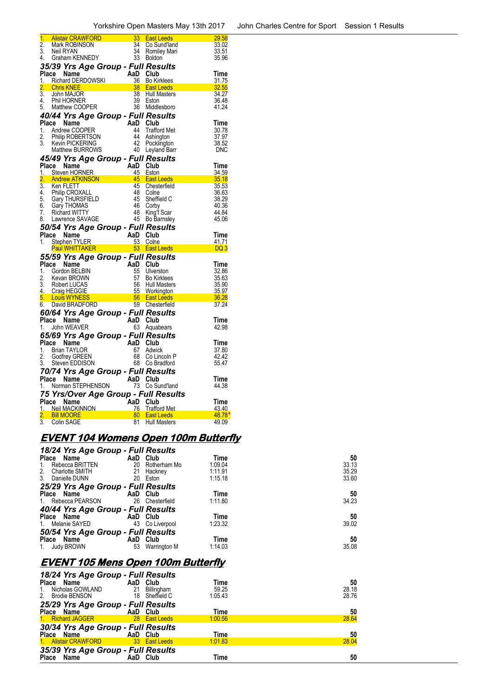| 1.               |                                                                                                                                                                                                                                                                                                                                                                                            |                   | 33 East Leeds<br>34 Co Sund'lar  | 29.58          |
|------------------|--------------------------------------------------------------------------------------------------------------------------------------------------------------------------------------------------------------------------------------------------------------------------------------------------------------------------------------------------------------------------------------------|-------------------|----------------------------------|----------------|
| $\overline{2}$ . | <mark>Alistair CRAWFORD</mark><br>Mark ROBINSON<br>Neil RYAN<br>Graham KENNEDY                                                                                                                                                                                                                                                                                                             |                   | Co Sund'land                     | 33.02          |
| 3.               | Neil RYAN                                                                                                                                                                                                                                                                                                                                                                                  | 34                | Romiley Mari                     | 33.51          |
| 4.               |                                                                                                                                                                                                                                                                                                                                                                                            |                   | 33 Boldon                        | 35.96          |
|                  | Graham KENNEDY                                                                                                                                                                                                                                                                                                                                                                             |                   |                                  |                |
|                  | 35/39 Yrs Age Group - Full Results                                                                                                                                                                                                                                                                                                                                                         |                   |                                  |                |
|                  | Place Name<br>1. Richard DERDOWSKI <b>AD Club</b><br>2. Chris KNEE 38 Bo Kirklees<br>3. John MAJOR 38 Hull Masters<br>4. Phil HORNER                                                                                                                                                                                                                                                       |                   |                                  | Time           |
|                  |                                                                                                                                                                                                                                                                                                                                                                                            |                   |                                  | <u>31.75</u>   |
|                  |                                                                                                                                                                                                                                                                                                                                                                                            |                   |                                  | <u>32.55</u>   |
|                  |                                                                                                                                                                                                                                                                                                                                                                                            |                   |                                  | 34.27          |
|                  |                                                                                                                                                                                                                                                                                                                                                                                            |                   |                                  | 36.48          |
|                  | 5. Matthew COOPER                                                                                                                                                                                                                                                                                                                                                                          |                   | 39 Eston<br>36 Middlesboro       | 41.24          |
|                  |                                                                                                                                                                                                                                                                                                                                                                                            |                   |                                  |                |
|                  | 40/44 Yrs Age Group - Full Results<br><b>44 Yrs </b><br>ce Name<br>Andrew COOPER<br>Philip ROBERTSON<br><sup>2</sup> Pocklington<br><sup>2</sup> Pocklington<br><sup>2</sup> Pocklington<br><sup>2</sup> Pocklington<br><sup>2</sup> Pocklington<br><sup>2</sup> Pocklington<br><sup>2</sup> Pocklington<br><sup>2</sup> Pocklington<br><sup>2</sup> Pocklington<br><sup>2</sup> Pocklingt |                   |                                  |                |
|                  | Place Name                                                                                                                                                                                                                                                                                                                                                                                 |                   |                                  | Time           |
|                  | 1. Andrew COOPER                                                                                                                                                                                                                                                                                                                                                                           |                   |                                  | 30.78          |
| 2.               |                                                                                                                                                                                                                                                                                                                                                                                            |                   |                                  | 37.97          |
| 3.               | Kevin PICKERING                                                                                                                                                                                                                                                                                                                                                                            |                   |                                  | 38.52          |
|                  |                                                                                                                                                                                                                                                                                                                                                                                            |                   |                                  | DNC            |
|                  | 45/49 Yrs Age Group - Full Results                                                                                                                                                                                                                                                                                                                                                         |                   |                                  |                |
|                  |                                                                                                                                                                                                                                                                                                                                                                                            |                   |                                  |                |
|                  | <b>Place Name</b><br><b>Place Name AD Club</b><br>1. Steven HORNER 45 Eston 34.59<br>2. Andrew ATKINSON 45 East Leeds 35.18<br><sup>2</sup> Ken FLETT 45 Chesterfield 35.53<br>36.63                                                                                                                                                                                                       |                   |                                  |                |
|                  |                                                                                                                                                                                                                                                                                                                                                                                            |                   |                                  |                |
|                  |                                                                                                                                                                                                                                                                                                                                                                                            |                   |                                  |                |
|                  |                                                                                                                                                                                                                                                                                                                                                                                            |                   |                                  |                |
|                  |                                                                                                                                                                                                                                                                                                                                                                                            | 48<br>45          | Colne                            | 36.63          |
|                  |                                                                                                                                                                                                                                                                                                                                                                                            |                   | Sheffield C                      | 38.29          |
|                  | 3. Notific Letter<br>5. Gary THURSFIELD<br>6. Gary THOMAS<br>7. Dishard WITTY                                                                                                                                                                                                                                                                                                              | 46                | Corby                            | 40.36          |
| 7.               | Richard WITTY                                                                                                                                                                                                                                                                                                                                                                              |                   | 48 King't Scar<br>45 Bo Barnsley | 44.84          |
| 8.               | Lawrence SAVAGE                                                                                                                                                                                                                                                                                                                                                                            |                   |                                  | 45.06          |
|                  |                                                                                                                                                                                                                                                                                                                                                                                            |                   |                                  |                |
|                  |                                                                                                                                                                                                                                                                                                                                                                                            |                   |                                  |                |
|                  | 50/54 Yrs Age Group - Full Results                                                                                                                                                                                                                                                                                                                                                         |                   |                                  |                |
|                  | Place Name                                                                                                                                                                                                                                                                                                                                                                                 |                   |                                  |                |
| 1.               |                                                                                                                                                                                                                                                                                                                                                                                            |                   |                                  |                |
|                  |                                                                                                                                                                                                                                                                                                                                                                                            |                   |                                  |                |
|                  | e Name and AaD Club<br>Stephen TYLER 53 Colne 41.71<br>Paul WHITTAKER 53 East Leeds DQ 3                                                                                                                                                                                                                                                                                                   |                   |                                  |                |
|                  | 55/59 Yrs Age Group - Full Results<br>Place Name                                                                                                                                                                                                                                                                                                                                           |                   |                                  | Time           |
|                  | 1. Gordon BELBIN                                                                                                                                                                                                                                                                                                                                                                           |                   |                                  | 32.86          |
| 2.               |                                                                                                                                                                                                                                                                                                                                                                                            |                   |                                  | 35.63          |
| 3.               |                                                                                                                                                                                                                                                                                                                                                                                            |                   |                                  | 35.90          |
|                  |                                                                                                                                                                                                                                                                                                                                                                                            |                   |                                  | 35.97          |
| <u>4.</u><br>5.  |                                                                                                                                                                                                                                                                                                                                                                                            |                   |                                  |                |
| 6.               |                                                                                                                                                                                                                                                                                                                                                                                            |                   |                                  | 36.28<br>37.24 |
|                  | Container Manner Manner Manner Manner Manner Manner Manner (School School School School School School School School School School School School School School School School School School School School School School School S                                                                                                                                                             |                   |                                  |                |
|                  | 60/64 Yrs Age Group - Full Results                                                                                                                                                                                                                                                                                                                                                         |                   |                                  |                |
|                  | Place Name                                                                                                                                                                                                                                                                                                                                                                                 | AaD Club          |                                  | Time           |
| 1.               | John WEAVER                                                                                                                                                                                                                                                                                                                                                                                |                   | 63 Aquabears                     | 42.98          |
|                  |                                                                                                                                                                                                                                                                                                                                                                                            |                   |                                  |                |
|                  | 65/69 Yrs Age Group - Full Results                                                                                                                                                                                                                                                                                                                                                         |                   | Club                             |                |
|                  | Place Name                                                                                                                                                                                                                                                                                                                                                                                 |                   |                                  | Time           |
| 1.               | Brian TAYLOR                                                                                                                                                                                                                                                                                                                                                                               |                   | Adwick                           | 37.80          |
| 2.               | Godfrey GREEN                                                                                                                                                                                                                                                                                                                                                                              | $AaD$<br>67<br>68 | Co Lincoln P                     | 42.42          |
| 3.               | Steven EDDISON                                                                                                                                                                                                                                                                                                                                                                             | 68                | Co Bradford                      | 55.47          |
|                  | 70/74 Yrs Age Group - Full Results                                                                                                                                                                                                                                                                                                                                                         |                   |                                  |                |
|                  | Place Name                                                                                                                                                                                                                                                                                                                                                                                 | AaD Club          |                                  | Time           |
|                  |                                                                                                                                                                                                                                                                                                                                                                                            |                   | 73 Co Sund'land                  | 44.38          |
|                  | $\frac{1}{75}$ Norman STEPHENSON                                                                                                                                                                                                                                                                                                                                                           |                   |                                  |                |
|                  |                                                                                                                                                                                                                                                                                                                                                                                            |                   |                                  |                |
|                  |                                                                                                                                                                                                                                                                                                                                                                                            |                   |                                  | Time           |
|                  |                                                                                                                                                                                                                                                                                                                                                                                            |                   |                                  | 43.40          |
|                  |                                                                                                                                                                                                                                                                                                                                                                                            |                   |                                  | 48.78<br>49.09 |

# **EVENT 104 Womens Open 100m Butterfly**

| 18/24 Yrs Age Group - Full Results |          |              |         |       |
|------------------------------------|----------|--------------|---------|-------|
| Place Name                         | AaD Club |              | Time    | 50    |
| Rebecca BRITTEN<br>$1_{\cdot}$     | 20       | Rotherham Mo | 1:09.04 | 33.13 |
| 2.<br>Charlotte SMITH              | 21       | Hackney      | 1:11.91 | 35.29 |
| 3. Danielle DUNN                   | 20       | Eston        | 1:15.18 | 33.60 |
| 25/29 Yrs Age Group - Full Results |          |              |         |       |
| Place Name                         | AaD Club |              | Time    | 50    |
| 1. Rebecca PEARSON                 | 26       | Chesterfield | 1:11.80 | 34.23 |
| 40/44 Yrs Age Group - Full Results |          |              |         |       |
| Place Name                         | AaD Club |              | Time    | 50    |
| 1. Melanie SAYED                   | 43       | Co Liverpool | 1:23.32 | 39.02 |
| 50/54 Yrs Age Group - Full Results |          |              |         |       |
| Place Name                         | AaD      | Club         | Time    | 50    |
| Judy BROWN<br>1.                   | 53       | Warrington M | 1:14.03 | 35.08 |

# **EVENT 105 Mens Open 100m Butterfly**

| 18/24 Yrs Age Group - Full Results |          |                |         |       |
|------------------------------------|----------|----------------|---------|-------|
| Place Name                         | AaD Club |                | Time    | 50    |
| Nicholas GOWLAND<br>1.             | 21       | Billingham     | 59.25   | 28.18 |
| 2. Brodie BENSON                   |          | 18 Sheffield C | 1:05.43 | 28.76 |
| 25/29 Yrs Age Group - Full Results |          |                |         |       |
| Place Name                         | AaD Club |                | Time    | 50    |
| 1. Richard JAGGER                  |          | 28 East Leeds  | 1:00.56 | 28.64 |
| 30/34 Yrs Age Group - Full Results |          |                |         |       |
| Place Name                         | AaD Club |                | Time    | 50    |
| 1. Alistair CRAWFORD               |          | 33 East Leeds  | 1:01.83 | 28.04 |
| 35/39 Yrs Age Group - Full Results |          |                |         |       |
| Place<br>Name                      | AaD Club |                | Time    | 50    |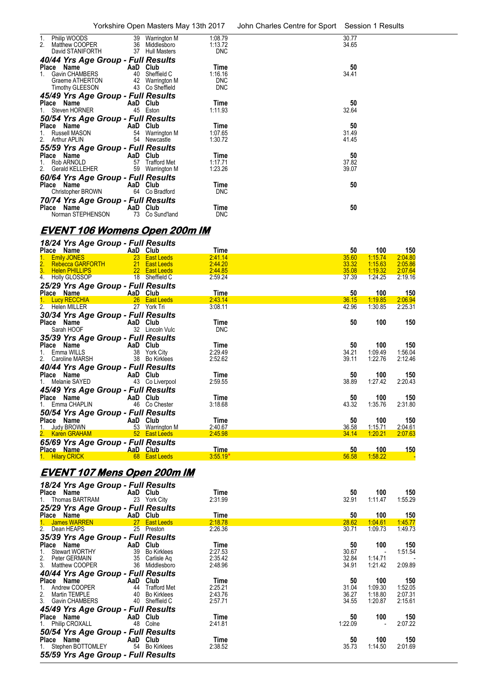|    |                                                       |                           |                                                      |                                  | Yorkshire Open Masters May 13th 2017 John Charles Centre for Sport Session 1 Results |                |  |
|----|-------------------------------------------------------|---------------------------|------------------------------------------------------|----------------------------------|--------------------------------------------------------------------------------------|----------------|--|
| 2. | 1. Philip WOODS<br>Matthew COOPER<br>David STANIFORTH |                           | 39 Warrington M<br>36 Middlesboro<br>37 Hull Masters | 1:08.79<br>1:13.72<br><b>DNC</b> |                                                                                      | 30.77<br>34.65 |  |
|    | 40/44 Yrs Age Group - Full Results                    |                           |                                                      |                                  |                                                                                      |                |  |
|    | Place Name                                            | <b>Example 2</b> AaD Club |                                                      | Time                             |                                                                                      | 50             |  |
|    | 1. Gavin CHAMBERS                                     |                           | 40 Sheffield C                                       | 1:16.16                          |                                                                                      | 34.41          |  |
|    | Graeme ATHERTON                                       |                           | 42 Warrington M                                      | <b>DNC</b>                       |                                                                                      |                |  |
|    | Timothy GLEESON                                       |                           | 43 Co Sheffield                                      | <b>DNC</b>                       |                                                                                      |                |  |
|    | 45/49 Yrs Age Group - Full Results                    |                           |                                                      |                                  |                                                                                      |                |  |
|    | Place Name                                            | AaD Club                  |                                                      | Time                             |                                                                                      | 50             |  |
|    | 1. Steven HORNER                                      |                           | 45 Eston                                             | 1:11.93                          |                                                                                      | 32.64          |  |
|    | 50/54 Yrs Age Group - Full Results                    |                           |                                                      |                                  |                                                                                      |                |  |
|    | Place Name                                            |                           | AaD Club                                             | Time                             |                                                                                      | 50             |  |
|    | 1. Russell MASON                                      |                           | 54 Warrington M                                      | 1:07.65                          |                                                                                      | 31.49          |  |
|    | 2. Arthur APLIN                                       |                           | 54 Newcastle                                         | 1:30.72                          |                                                                                      | 41.45          |  |
|    | 55/59 Yrs Age Group - Full Results                    |                           |                                                      |                                  |                                                                                      |                |  |
|    | Place Name                                            | AaD Club                  |                                                      | Time                             |                                                                                      | 50             |  |
|    | 1. Rob ARNOLD                                         |                           | 57 Trafford Met                                      | 1:17.71                          |                                                                                      | 37.82          |  |
|    | 2. Gerald KELLEHER                                    |                           | 59 Warrington M                                      | 1:23.26                          |                                                                                      | 39.07          |  |
|    | 60/64 Yrs Age Group - Full Results                    |                           |                                                      |                                  |                                                                                      |                |  |
|    | Place Name                                            |                           | AaD Club                                             | Time                             |                                                                                      | 50             |  |
|    | Christopher BROWN                                     |                           | 64 Co Bradford                                       | <b>DNC</b>                       |                                                                                      |                |  |
|    | 70/74 Yrs Age Group - Full Results                    |                           |                                                      |                                  |                                                                                      |                |  |
|    | Place Name                                            | AaD Club                  |                                                      | Time                             |                                                                                      | 50             |  |
|    | Norman STEPHENSON                                     |                           | 73 Co Sund'land                                      | <b>DNC</b>                       |                                                                                      |                |  |
|    |                                                       |                           |                                                      |                                  |                                                                                      |                |  |

# **EVENT 106 Womens Open 200m IM**

| 18/24 Yrs Age Group - Full Results         |          |                    |            |       |         |             |
|--------------------------------------------|----------|--------------------|------------|-------|---------|-------------|
| Place Name                                 | AaD Club |                    | Time       | 50    | 100     | 150         |
| <b>Emily JONES</b>                         | 23       | <b>East Leeds</b>  | 2:41.14    | 35.60 | 1:15.74 | 2:04.80     |
| $\frac{2}{3}$ .<br><b>Rebecca GARFORTH</b> | 21       | <b>East Leeds</b>  | 2:44.20    | 33.32 | 1:15.63 | 2:05.86     |
| <b>Helen PHILLIPS</b>                      |          | 22 East Leeds      | 2:44.85    | 35.08 | 1:19.32 | 2:07.64     |
| 4. Holly GLOSSOP                           |          | 18 Sheffield C     | 2:59.24    | 37.39 | 1:24.25 | 2:19.16     |
| 25/29 Yrs Age Group - Full Results         |          |                    |            |       |         |             |
| Place Name                                 | AaD Club |                    | Time       | 50    | 100     | 150         |
| 1. Lucy RECCHIA                            |          | 26 East Leeds      | 2:43.14    | 36.15 | 1:19.85 | 2:06.94     |
| 2. Helen MILLER                            |          | 27 York Tri        | 3:08.11    | 42.96 | 1:30.85 | 2:25.31     |
| 30/34 Yrs Age Group - Full Results         |          |                    |            |       |         |             |
| Place Name                                 | AaD      | Club               | Time       | 50    | 100     | 150         |
| Sarah HOOF                                 |          | 32 Lincoln Vulc    | <b>DNC</b> |       |         |             |
| 35/39 Yrs Age Group - Full Results         |          |                    |            |       |         |             |
| Place Name                                 | AaD Club |                    | Time       | 50    | 100     | 150         |
| Emma WILLS                                 | 38       | York City          | 2:29.49    | 34.21 | 1:09.49 | 1:56.04     |
| 2.<br>Caroline MARSH                       | 38       | <b>Bo Kirklees</b> | 2:52.62    | 39.11 | 1:22.76 | 2:12.46     |
| 40/44 Yrs Age Group - Full Results         |          |                    |            |       |         |             |
| Place Name                                 | AaD Club |                    | Time       | 50    | 100     | 150         |
| Melanie SAYED                              | 43       | Co Liverpool       | 2:59.55    | 38.89 | 1:27.42 | 2:20.43     |
| 45/49 Yrs Age Group - Full Results         |          |                    |            |       |         |             |
| Place Name                                 | AaD Club |                    | Time       | 50    | 100     | 150         |
| 1. Emma CHAPLIN                            | 46       | Co Chester         | 3:18.68    | 43.32 | 1:35.76 | 2:31.80     |
| 50/54 Yrs Age Group - Full Results         |          |                    |            |       |         |             |
| Place Name                                 | AaD Club |                    | Time       | 50    | 100     | 150         |
| <b>Judy BROWN</b>                          |          | 53 Warrington M    | 2:40.67    | 36.58 | 1:15.71 | 2:04.61     |
| 2. Karen GRAHAM                            |          | 52 East Leeds      | 2:45.98    | 34.14 | 1:20.21 | 2:07.63     |
| 65/69 Yrs Age Group - Full Results         |          |                    |            |       |         |             |
| Place Name                                 | AaD Club |                    | Time       | 50    | 100     | <u> 150</u> |
| 1. Hilary CRICK                            |          | 68 East Leeds      | $3.55.19*$ | 56.58 | 1:58.22 |             |

# **EVENT 107 Mens Open 200m IM**

| 18/24 Yrs Age Group - Full Results      |                      |         |         |         |         |
|-----------------------------------------|----------------------|---------|---------|---------|---------|
| Place Name                              | AaD Club             | Time    | 50      | 100     | 150     |
| 1. Thomas BARTRAM 23 York City          |                      | 2:31.99 | 32.91   | 1:11.47 | 1:55.29 |
| 25/29 Yrs Age Group - Full Results      |                      |         |         |         |         |
| Place Name                              | AaD Club             | Time    | 50      | 100     | 150     |
| 1. James WARREN                         | <b>27 East Leeds</b> | 2:18.78 | 28.62   | 1:04.61 | 1:45.77 |
| 2. Dean HEAPS<br>25 Preston             |                      | 2:26.36 | 30.71   | 1:09.73 | 1:49.73 |
| 35/39 Yrs Age Group - Full Results      |                      |         |         |         |         |
| <b>Example 2 AaD</b> Club<br>Place Name |                      | Time    | 50      | 100     | 150     |
| Stewart WORTHY<br>1.                    | 39 Bo Kirklees       | 2:27.53 | 30.67   |         | 1:51.54 |
| 2. Peter GERMAIN<br>3. Matthew COOPER   | 35 Carlisle Ag       | 2:35.42 | 32.84   | 1:14.71 |         |
|                                         | 36 Middlesboro       | 2:48.96 | 34.91   | 1:21.42 | 2:09.89 |
| 40/44 Yrs Age Group - Full Results      |                      |         |         |         |         |
| Place Name                              | AaD Club             | Time    | 50      | 100     | 150     |
| Andrew COOPER<br>1.                     | 44 Trafford Met      | 2:25.21 | 31.04   | 1:09.30 | 1:52.05 |
|                                         | 40 Bo Kirklees       | 2:43.76 | 36.27   | 1:18.80 | 2:07.31 |
| 2. Martin TEMPLE<br>3. Gavin CHAMBERS   | 40 Sheffield C       | 2:57.71 | 34.55   | 1:20.87 | 2:15.61 |
| 45/49 Yrs Age Group - Full Results      |                      |         |         |         |         |
| Place Name<br>AaD Club                  |                      | Time    | 50      | 100     | 150     |
| 1. Philip CROXALL<br>48                 | Colne                | 2:41.81 | 1:22.09 |         | 2:07.22 |
| 50/54 Yrs Age Group - Full Results      |                      |         |         |         |         |
| Place Name                              | AaD Club             | Time    | 50      | 100     | 150     |
| 1. Stephen BOTTOMLEY 54 Bo Kirklees     |                      | 2:38.52 | 35.73   | 1:14.50 | 2:01.69 |
| 55/59 Yrs Age Group - Full Results      |                      |         |         |         |         |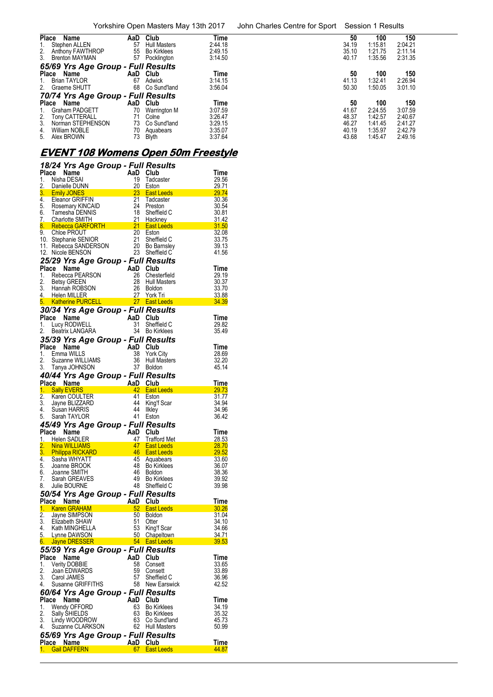| Place           | Name                               | AaD | Club                | Time    | 50    | 100     | 150     |  |
|-----------------|------------------------------------|-----|---------------------|---------|-------|---------|---------|--|
|                 | Stephen ALLEN                      | 57  | <b>Hull Masters</b> | 2:44.18 | 34.19 | 1:15.81 | 2:04.21 |  |
| 2.              | Anthony FAWTHROP                   | 55  | <b>Bo Kirklees</b>  | 2:49.15 | 35.10 | 1:21.75 | 2:11.14 |  |
|                 | 3. Brenton MAYMAN                  | 57  | Pocklington         | 3:14.50 | 40.17 | 1:35.56 | 2:31.35 |  |
|                 | 65/69 Yrs Age Group - Full Results |     |                     |         |       |         |         |  |
| Place           | Name                               |     | AaD Club            | Time    | 50    | 100     | 150     |  |
| 1.              | Brian TAYLOR                       | 67  | Adwick              | 3:14.15 | 41.13 | 1:32.41 | 2:26.94 |  |
|                 | 2. Graeme SHUTT                    | 68  | Co Sund'land        | 3:56.04 | 50.30 | 1:50.05 | 3:01.10 |  |
|                 | 70/74 Yrs Age Group - Full Results |     |                     |         |       |         |         |  |
|                 | Place Name                         |     | AaD Club            | Time    | 50    | 100     | 150     |  |
|                 | Graham PADGETT                     | 70  | Warrington M        | 3:07.59 | 41.67 | 2:24.55 | 3:07.59 |  |
| $\frac{2}{3}$ . | <b>Tony CATTERALL</b>              | 71  | Colne               | 3:26.47 | 48.37 | 1:42.57 | 2:40.67 |  |
|                 | Norman STEPHENSON                  | 73  | Co Sund'land        | 3:29.15 | 46.27 | 1:41.45 | 2:41.27 |  |
| 4.              | William NOBLE                      | 70  | Aquabears           | 3:35.07 | 40.19 | 1:35.97 | 2:42.79 |  |
|                 | 5. Alex BROWN                      | 73  | <b>Blyth</b>        | 3:37.64 | 43.68 | 1:45.47 | 2:49.16 |  |

# **EVENT 108 Womens Open 50m Freestyle**

|          | 18/24 Yrs Age Group - Full Results                                                                                                                                                                                                           |          |                                                                                                                                                                                                                                      |                                                                                                                                                                                                                                                       |
|----------|----------------------------------------------------------------------------------------------------------------------------------------------------------------------------------------------------------------------------------------------|----------|--------------------------------------------------------------------------------------------------------------------------------------------------------------------------------------------------------------------------------------|-------------------------------------------------------------------------------------------------------------------------------------------------------------------------------------------------------------------------------------------------------|
| 1.       | Place Name<br>Nisha DESAI                                                                                                                                                                                                                    | AaD Club | 19 Tadcaster                                                                                                                                                                                                                         | Time<br>29.56                                                                                                                                                                                                                                         |
|          | 2. Danielle DUNN                                                                                                                                                                                                                             |          | 20 Eston                                                                                                                                                                                                                             | 29.71                                                                                                                                                                                                                                                 |
|          |                                                                                                                                                                                                                                              |          |                                                                                                                                                                                                                                      | <b>3. Emily JONES 23 East Leeds 29.74</b><br><b>4. Eleanor GRIFFIN</b> 21 Tadcaster 30.36<br><b>5. Rosemary KINCAID</b> 24 Preston 30.54<br><b>6. Tamesha DENNIS</b> 18 Sheffield C 30.81<br><b>6. Tamesha DENNIS</b> 18 Sheffield C 30.81            |
|          |                                                                                                                                                                                                                                              |          |                                                                                                                                                                                                                                      |                                                                                                                                                                                                                                                       |
|          |                                                                                                                                                                                                                                              |          |                                                                                                                                                                                                                                      |                                                                                                                                                                                                                                                       |
|          | 5. Rosemary KINCAID<br>6. Tamesha DENNIS<br>7. Charlotte SMITH                                                                                                                                                                               |          |                                                                                                                                                                                                                                      | 30.54<br>18 Sheffield C<br>21 Hackney<br>8. Rebecca GARFORTH<br>9. Chloe PROUT<br>10. Stephanie SENIOR<br>10. Stephanie SENIOR<br>12. Nicole BENSON<br>12. Nicole BENSON<br>12. Nicole BENSON<br>12. Nicole BENSON<br>12. Nicole BENSON<br>12. Nicole |
|          |                                                                                                                                                                                                                                              |          |                                                                                                                                                                                                                                      |                                                                                                                                                                                                                                                       |
|          |                                                                                                                                                                                                                                              |          |                                                                                                                                                                                                                                      |                                                                                                                                                                                                                                                       |
|          |                                                                                                                                                                                                                                              |          |                                                                                                                                                                                                                                      |                                                                                                                                                                                                                                                       |
|          |                                                                                                                                                                                                                                              |          |                                                                                                                                                                                                                                      |                                                                                                                                                                                                                                                       |
|          | 25/29 Yrs Age Group - Full Results                                                                                                                                                                                                           |          |                                                                                                                                                                                                                                      |                                                                                                                                                                                                                                                       |
|          | <b>Profile PEARSON</b><br>Rebecca PEARSON 26 Chest<br>Betsy GREEN 26 Chest<br>Pears<br>Place Name                                                                                                                                            |          |                                                                                                                                                                                                                                      | Time                                                                                                                                                                                                                                                  |
|          |                                                                                                                                                                                                                                              |          |                                                                                                                                                                                                                                      | 29.19<br>30.37                                                                                                                                                                                                                                        |
|          |                                                                                                                                                                                                                                              |          |                                                                                                                                                                                                                                      | 33.70                                                                                                                                                                                                                                                 |
|          | 1. Rebecca PEARSON<br>2. Betsy GREEN<br>2. Betsy GREEN<br>3. Hannah ROBSON<br>4. Helen MILLER<br>5. Katherine PURCELL<br>5. Katherine PURCELL<br>5. The MILLER<br>27 York Tri                                                                |          |                                                                                                                                                                                                                                      | 33.88                                                                                                                                                                                                                                                 |
|          |                                                                                                                                                                                                                                              |          |                                                                                                                                                                                                                                      | 34.39                                                                                                                                                                                                                                                 |
|          | <b>30/34 Yrs Age Group - Full Results<br/>Place Name AaD Club<br/>1. Lucy RODWELL 31 Sheffield C<br/>2. Beatrix LANGARA 34 Bo Kirklees</b>                                                                                                   |          |                                                                                                                                                                                                                                      |                                                                                                                                                                                                                                                       |
|          |                                                                                                                                                                                                                                              |          |                                                                                                                                                                                                                                      | Time<br>29.82                                                                                                                                                                                                                                         |
|          |                                                                                                                                                                                                                                              |          |                                                                                                                                                                                                                                      | 35.49                                                                                                                                                                                                                                                 |
|          | 35/39 Yrs Age Group - Full Results                                                                                                                                                                                                           |          |                                                                                                                                                                                                                                      |                                                                                                                                                                                                                                                       |
|          | Place Name                                                                                                                                                                                                                                   |          |                                                                                                                                                                                                                                      | Time                                                                                                                                                                                                                                                  |
| 1.       | Company of the Manne Manne Manne Manne Manne Manne Manne Manne Manne Manne Manne Manne Manne Manne Manne Manne Manne Manne Manne Manne Manne Manne Manne Manne Manne Manne Manne Manne Manne Manne Manne Manne Manne Manne Man<br>Emma WILLS |          | 38 York City                                                                                                                                                                                                                         | 28.69                                                                                                                                                                                                                                                 |
| 2.       |                                                                                                                                                                                                                                              |          | 36 Hull Masters<br>37 Boldon                                                                                                                                                                                                         | 32.20                                                                                                                                                                                                                                                 |
|          | 3. Tanya JOHNSON                                                                                                                                                                                                                             |          |                                                                                                                                                                                                                                      | 45.14                                                                                                                                                                                                                                                 |
|          |                                                                                                                                                                                                                                              |          | <b>40/44 Yrs Age Group - Full Results<br/> Place Name AaD Club<br/> 1. Sally EVERS 42 East Leeds<br/> 2. Karen COULTER 41 Eston<br/> 3. Jayne BLIZZARD 44 King'f Scar<br/> 4. Susan HARRIS 44 Ilkley</b>                             | Time                                                                                                                                                                                                                                                  |
|          |                                                                                                                                                                                                                                              |          |                                                                                                                                                                                                                                      | 29.73                                                                                                                                                                                                                                                 |
|          |                                                                                                                                                                                                                                              |          |                                                                                                                                                                                                                                      | 31.77                                                                                                                                                                                                                                                 |
|          |                                                                                                                                                                                                                                              |          |                                                                                                                                                                                                                                      | 34.94                                                                                                                                                                                                                                                 |
|          | 4. Susan HARRIS<br>5. Sarah TAYLOR                                                                                                                                                                                                           |          | 44 Ilkley<br>41 Eston                                                                                                                                                                                                                | 34.96<br>36.42                                                                                                                                                                                                                                        |
|          |                                                                                                                                                                                                                                              |          |                                                                                                                                                                                                                                      |                                                                                                                                                                                                                                                       |
|          |                                                                                                                                                                                                                                              |          |                                                                                                                                                                                                                                      | Time                                                                                                                                                                                                                                                  |
|          |                                                                                                                                                                                                                                              |          | 1. Helen SADLER 1. 1979 - 1979 - 1979 - 1979 - 1979 - 1979 - 1979 - 1979 - 1979 - 1979 - 1979 - 197<br>2. Nina WILLIAMS - 1979 - 1979 - 1979 - 1979 - 1979 - 1979 - 1979 - 1979 - 1979 - 1979 - 1979 - 1979 - 1979 -<br>1. Sasha WHY | 28.53                                                                                                                                                                                                                                                 |
|          |                                                                                                                                                                                                                                              |          |                                                                                                                                                                                                                                      | 28.70                                                                                                                                                                                                                                                 |
|          | 4. Sasha WHYATT                                                                                                                                                                                                                              |          | 45 Aquabears                                                                                                                                                                                                                         | 29.52<br>33.60                                                                                                                                                                                                                                        |
|          | 5. Joanne BROOK                                                                                                                                                                                                                              |          | 48 Bo Kirklees                                                                                                                                                                                                                       | 36.07                                                                                                                                                                                                                                                 |
| 6.       | Joanne SMITH                                                                                                                                                                                                                                 |          | 46 Boldon                                                                                                                                                                                                                            | 38.36                                                                                                                                                                                                                                                 |
| 7.       | Sarah GREAVES                                                                                                                                                                                                                                |          | 49 Bo Kirklees<br>48 Sheffield C                                                                                                                                                                                                     | 39.92                                                                                                                                                                                                                                                 |
| 8.       | Julie BOURNE                                                                                                                                                                                                                                 |          |                                                                                                                                                                                                                                      | 39.98                                                                                                                                                                                                                                                 |
|          |                                                                                                                                                                                                                                              |          |                                                                                                                                                                                                                                      | <u>Time</u>                                                                                                                                                                                                                                           |
|          |                                                                                                                                                                                                                                              |          | 52 East Leeds <b>East Allen Board East Property</b>                                                                                                                                                                                  | 30.26                                                                                                                                                                                                                                                 |
|          | Plaue Branch<br><mark>1. Karen GRAHAM</mark><br>2. Jayne SIMPSON<br><sup>9. Eli</sup> zahath SHAW                                                                                                                                            | 50       | <b>Boldon</b>                                                                                                                                                                                                                        | 31.04                                                                                                                                                                                                                                                 |
|          | 3. Elizabeth SHAW                                                                                                                                                                                                                            | 51       | Otter                                                                                                                                                                                                                                | 34.10                                                                                                                                                                                                                                                 |
| 4.<br>5. | Kath MINGHELLA<br>Lynne DAWSON                                                                                                                                                                                                               | 53<br>50 | King'f Scar<br>Chapeltown                                                                                                                                                                                                            | 34.66<br>34.71                                                                                                                                                                                                                                        |
| 6.       | Jayne DRESSER                                                                                                                                                                                                                                | 54       | <b>East Leeds</b>                                                                                                                                                                                                                    | 39.53                                                                                                                                                                                                                                                 |
|          | 55/59 Yrs Age Group - Full Results                                                                                                                                                                                                           |          |                                                                                                                                                                                                                                      |                                                                                                                                                                                                                                                       |
| Place    | Name                                                                                                                                                                                                                                         | AaD      | Club                                                                                                                                                                                                                                 | Time                                                                                                                                                                                                                                                  |
| 1.       | <b>Verity DOBBIE</b>                                                                                                                                                                                                                         | 58       | Consett                                                                                                                                                                                                                              | 33.65                                                                                                                                                                                                                                                 |
| 2.<br>3. | Joan EDWARDS<br>Carol JAMES                                                                                                                                                                                                                  | 59<br>57 | Consett<br>Sheffield C                                                                                                                                                                                                               | 33.89<br>36.96                                                                                                                                                                                                                                        |
| 4.       | Susanne GRIFFITHS                                                                                                                                                                                                                            | 58       | New Earswick                                                                                                                                                                                                                         | 42.52                                                                                                                                                                                                                                                 |
|          | 60/64 Yrs Age Group - Full Results                                                                                                                                                                                                           |          |                                                                                                                                                                                                                                      |                                                                                                                                                                                                                                                       |
|          | Place Name                                                                                                                                                                                                                                   | AaD      | Club                                                                                                                                                                                                                                 | Time                                                                                                                                                                                                                                                  |
| 1.       | Wendy OFFORD                                                                                                                                                                                                                                 | 63       | <b>Bo Kirklees</b>                                                                                                                                                                                                                   | 34.19                                                                                                                                                                                                                                                 |
| 2.       | Sally SHIELDS                                                                                                                                                                                                                                | 63       | <b>Bo Kirklees</b>                                                                                                                                                                                                                   | 35.32                                                                                                                                                                                                                                                 |
| 3.<br>4. | Lindy WOODROW<br>Suzanne CLARKSON                                                                                                                                                                                                            | 63<br>62 | Co Sund'land<br>Hull Masters                                                                                                                                                                                                         | 45.73<br>50.99                                                                                                                                                                                                                                        |
|          | 65/69 Yrs Age Group - Full Results                                                                                                                                                                                                           |          |                                                                                                                                                                                                                                      |                                                                                                                                                                                                                                                       |
| Place    | Name                                                                                                                                                                                                                                         | AaD      | Club                                                                                                                                                                                                                                 | Time                                                                                                                                                                                                                                                  |
|          | <b>Gail DAFFERN</b>                                                                                                                                                                                                                          | 67 -     | <b>East Leeds</b>                                                                                                                                                                                                                    | 44.87                                                                                                                                                                                                                                                 |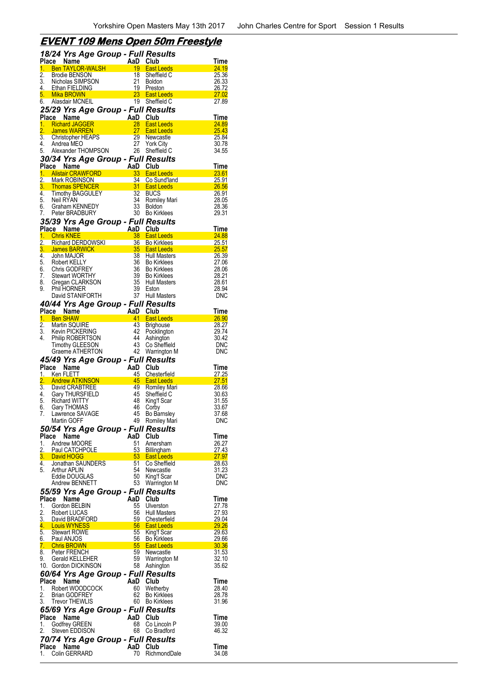## **EVENT 109 Mens Open 50m Freestyle**

|                        | 18/24 Yrs Age Group - Full Results                                |                 |                                                                   |                       |
|------------------------|-------------------------------------------------------------------|-----------------|-------------------------------------------------------------------|-----------------------|
| 1.                     | Place Name<br><b>Ben TAYLOR-WALSH</b>                             | AaD Club<br>19  | <b>East Leeds</b>                                                 | Time<br><u>24.19</u>  |
| $\overline{2}$ .       | Brodie BENSON                                                     | 18              | Sheffield C                                                       | 25.36                 |
| 3.                     | Nicholas SIMPSON                                                  | 21              | <b>Boldon</b>                                                     | 26.33                 |
| 4.                     | Ethan FIELDING                                                    |                 | 19 Preston                                                        | 26.72                 |
| 6.                     | 5. Mika BROWN<br>Alasdair MCNEIL                                  | 19              | 23 East Leeds<br>Sheffield C                                      | <u>27.02</u><br>27.89 |
|                        | 25/29 Yrs Age Group - Full Results                                |                 |                                                                   |                       |
|                        | Place Name                                                        |                 |                                                                   | Time                  |
| 1.                     | <b>Richard JAGGER</b>                                             |                 | <b>East Leeds</b>                                                 | 24.89                 |
| $\overline{2}$ .<br>3. | James WARREN                                                      | 29              | 27 East Leeds                                                     | 25.43                 |
| 4.                     | Christopher HEAPS<br>Andrea MEO                                   | 27              | Newcastle<br><b>York City</b>                                     | 25.84<br>30.78        |
| 5.                     | Alexander THOMPSON                                                | 26              | Sheffield C                                                       | 34.55                 |
|                        | 30/34 Yrs Age Group - Full Results                                |                 |                                                                   |                       |
|                        | Place Name                                                        | AaD Club        |                                                                   | <u>Time</u>           |
| $\overline{2}$ .       | 1. Alistair CRAWFORD<br>Mark ROBINSON                             | 33<br>34        | <b>East Leeds</b><br>Co Sund'land                                 | 23.61<br>25.91        |
| 3.                     | <b>Thomas SPENCER</b>                                             |                 | <b>East Leeds</b>                                                 | 26.56                 |
| 4.                     | Tinomas St.                                                       | $\frac{31}{32}$ | <b>BUCS</b>                                                       | 26.91                 |
| 5.<br>6.               | Neil RYAN<br><b>Graham KENNEDY</b>                                | 34<br>33        | Romiley Mari<br><b>Boldon</b>                                     | 28.05<br>28.36        |
| 7.                     | Peter BRADBURY                                                    | 30              | <b>Bo Kirklees</b>                                                | 29.31                 |
|                        | 35/39 Yrs Age Group - Full Results                                |                 |                                                                   |                       |
|                        | Place Name                                                        | AaD Club        |                                                                   | Time                  |
|                        | 1. Chris KNEE                                                     | 38              | <b>East Leeds</b>                                                 | 24.88                 |
| $\overline{2}$ .<br>3. | Richard DERDOWSKI<br>James BARWICK                                |                 | 36 Bo Kirklees<br><b>Example 135 East Leeds</b>                   | 25.51<br>25.57        |
| 4.                     | John MAJOR                                                        | 38              | Hull Masters                                                      | 26.39                 |
| 5.                     | Robert KELLY                                                      | 36              | <b>Bo Kirklees</b>                                                | 27.06                 |
| 7.                     | 6. Chris GODFREY<br><b>Stewart WORTHY</b>                         | 36<br>39        | <b>Bo Kirklees</b><br><b>Bo Kirklees</b>                          | 28.06<br>28.21        |
| 8.                     | Gregan CLARKSON                                                   | 35              | Hull Masters                                                      | 28.61                 |
| 9.                     | <b>Phil HORNER</b>                                                | 39              | Eston                                                             | 28.94                 |
|                        | David STANIFORTH                                                  |                 | 37 Hull Masters                                                   | <b>DNC</b>            |
|                        | 40/44 Yrs Age Group - Full Results                                |                 |                                                                   |                       |
|                        | Place Name<br><u>1. Ben SHAW</u>                                  | AaD Club        | 41 East Leeds                                                     | Time<br><u>26.90</u>  |
| $\overline{2}$ .       | Martin SQUIRE                                                     | 43              | <b>Brighouse</b>                                                  | 28.27                 |
| 3.                     | Kevin PICKERING                                                   |                 | 42 Pocklington                                                    | 29.74                 |
| 4.                     | Philip ROBERTSON<br><b>Timothy GLEESON</b>                        | 44<br>43        | Ashington<br>Co Sheffield                                         | 30.42<br><b>DNC</b>   |
|                        |                                                                   |                 |                                                                   | <b>DNC</b>            |
|                        | Graeme ATHERTON                                                   |                 |                                                                   |                       |
|                        |                                                                   |                 | 42 Warrington M                                                   |                       |
| Place                  | 45/49 Yrs Age Group - Full Results<br>Name                        | AaD             | Club                                                              | Time                  |
|                        | 1. Ken FLETT                                                      | 45              | Chesterfield                                                      | 27.25                 |
| $\overline{2}$ .       | <b>Andrew ATKINSON</b>                                            |                 | 45 East Leeds                                                     | <b>27.51</b>          |
| 4.                     | 3. David CRABTREE<br>Gary THURSFIELD                              | 45              | 49 Romiley Mari<br>Sheffield C                                    | 28.66<br>30.63        |
| 5.                     | <b>Richard WITTY</b>                                              | 48              | King'f Scar                                                       | 31.55                 |
|                        | 6. Gary THOMAS                                                    | 46              | Corby                                                             | 33.67                 |
| 7.                     | Lawrence SAVAGE<br>Martin GOFF                                    | 45              | <b>Bo Barnsley</b>                                                | 37.68<br>DNC          |
|                        |                                                                   |                 | 49 Romiley Mari                                                   |                       |
|                        | 50/54 Yrs Age Group - Full Results<br>Place Name                  | AaD             | Club                                                              | Time                  |
| 1.                     | Andrew MOORE                                                      | 51              | Amersham                                                          | 26.27                 |
| 2.                     | Paul CATCHPOLE                                                    |                 |                                                                   | 27.43                 |
| 3.<br>4.               | David HOGG<br>Jonathan SAUNDERS                                   |                 |                                                                   | 27.97<br>28.63        |
| 5.                     | <b>Arthur APLIN</b>                                               |                 | 53 Billingham<br>53 East Leeds<br>51 Co Sheffield<br>54 Newcastle | 31.23                 |
|                        | Eddie DOUGLAS                                                     | 50              | King'f Scar                                                       | <b>DNC</b>            |
|                        | Andrew BENNETT                                                    | 53              | Warrington M                                                      | <b>DNC</b>            |
| <b>Place</b>           | 55/59 Yrs Age Group - Full Results<br>Name                        | AaD Club        |                                                                   | <b>Time</b>           |
| 1.                     | Gordon BELBIN                                                     | 55              | Ulverston                                                         | 27.78                 |
| 2.                     | Robert LUCAS                                                      | 56              | <b>Hull Masters</b>                                               | 27.93                 |
| 3.                     | David BRADFORD                                                    |                 | 59 Chesterfield                                                   | 29.04<br>29.26        |
| 5.                     | 4. Louis WYNESS<br>Stewart ROWE                                   | 55              | 56 East Leeds<br>King'f Scar                                      | 29.63                 |
|                        | 6. Paul ANJOS                                                     |                 | 56 Bo Kirklees                                                    | 29.66                 |
|                        | 7. Chris BROWN                                                    |                 | 55 East Leeds                                                     | 30.36                 |
| 9.                     | 8. Peter FRENCH<br><b>Gerald KELLEHER</b>                         |                 | 59 Newcastle<br>59 Warrington M                                   | 31.53<br>32.10        |
|                        | 10. Gordon DICKINSON                                              |                 | 58 Ashington                                                      | 35.62                 |
|                        | 60/64 Yrs Age Group - Full Results                                |                 |                                                                   |                       |
| Place                  | Name                                                              | AaD             | Club                                                              | Time                  |
| 1.<br>2.               | Robert WOODCOCK<br><b>Brian GODFREY</b>                           | 60              | Wetherby<br>62 Bo Kirklees                                        | 28.40<br>28.78        |
| 3.                     | <b>Trevor THEWLIS</b>                                             |                 | 60 Bo Kirklees                                                    | 31.96                 |
|                        | 65/69 Yrs Age Group - Full Results                                |                 |                                                                   |                       |
| Place                  | Name                                                              | AaD Club        |                                                                   | Time                  |
| 1.<br>2.               | Godfrey GREEN<br>Steven EDDISON                                   | 68<br>68        | Co Lincoln P<br>Co Bradford                                       | 39.00<br>46.32        |
|                        |                                                                   |                 |                                                                   |                       |
|                        | 70/74 Yrs Age Group - Full Results<br>Place Name<br>Colin GERRARD | AaD Club<br>70  | RichmondDale                                                      | Time                  |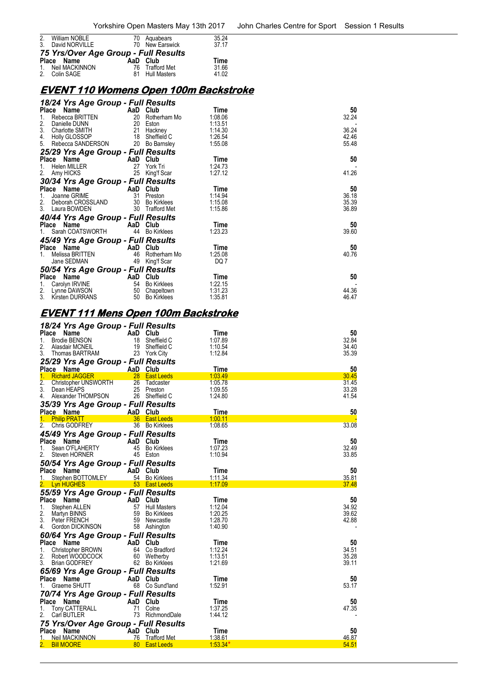| 2. William NOBLE                     | 70 Aguabears    | 35.24 |
|--------------------------------------|-----------------|-------|
| 3. David NORVILLE                    | 70 New Earswick | 37 17 |
| 75 Yrs/Over Age Group - Full Results |                 |       |
| Place Name                           | AaD Club        | Time  |
| 1. Neil MACKINNON                    | 76 Trafford Met | 31.66 |
| 2. Colin SAGE                        | 81 Hull Masters | 41.02 |
|                                      |                 |       |

## **EVENT 110 Womens Open 100m Backstroke**

| 18/24 Yrs Age Group - Full Results |     |                    |         |       |
|------------------------------------|-----|--------------------|---------|-------|
| Place Name                         | AaD | Club               | Time    | 50    |
| 1.<br>Rebecca BRITTEN              |     | 20 Rotherham Mo    | 1:08.06 | 32.24 |
| 2.<br>Danielle DUNN                |     | 20 Eston           | 1:13.51 |       |
| 3.<br>Charlotte SMITH              | 21  | Hackney            | 1:14.30 | 36.24 |
| 4.<br>Holly GLOSSOP                | 18  | Sheffield C        | 1:26.54 | 42.46 |
| 5.<br>Rebecca SANDERSON            | 20  | Bo Barnsley        | 1:55.08 | 55.48 |
| 25/29 Yrs Age Group - Full Results |     |                    |         |       |
| Place Name                         |     | AaD Club           | Time    | 50    |
| Helen MILLER<br>1.                 | 27  | York Tri           | 1:24.73 |       |
| 2.<br>Amy HICKS                    | 25  | King'f Scar        | 1:27.12 | 41.26 |
| 30/34 Yrs Age Group - Full Results |     |                    |         |       |
| Place Name                         |     | AaD Club           | Time    | 50    |
| 1.<br>Joanne GRIME                 | 31  | Preston            | 1:14.94 | 36.18 |
| 2. Deborah CROSSLAND               |     | 30 Bo Kirklees     | 1:15.08 | 35.39 |
| 3. Laura BOWDEN                    |     | 30 Trafford Met    | 1:15.86 | 36.89 |
| 40/44 Yrs Age Group - Full Results |     |                    |         |       |
| Place Name                         |     | AaD Club           | Time    | 50    |
| 1. Sarah COATSWORTH                | 44  | <b>Bo Kirklees</b> | 1:23.23 | 39.60 |
| 45/49 Yrs Age Group - Full Results |     |                    |         |       |
| Place Name                         |     | AaD Club           | Time    | 50    |
| Melissa BRITTEN                    | 46  | Rotherham Mo       | 1:25.08 | 40.76 |
| Jane SEDMAN                        | 49  | King'f Scar        | DQ 7    |       |
| 50/54 Yrs Age Group - Full Results |     |                    |         |       |
| Place Name                         | AaD | Club               | Time    | 50    |
| 1.<br>Carolyn IRVINE               |     | 54 Bo Kirklees     | 1:22.15 |       |
| 2.<br>Lynne DAWSON                 | 50  | Chapeltown         | 1:31.23 | 44.36 |
| 3.<br>Kirsten DURRANS              | 50  | <b>Bo Kirklees</b> | 1:35.81 | 46.47 |

# **EVENT 111 Mens Open 100m Backstroke**

| 18/24 Yrs Age Group - Full Results   |                 |                     |             |                |
|--------------------------------------|-----------------|---------------------|-------------|----------------|
| Place<br>Name                        | AaD Club        |                     | Time        | 50             |
| <b>Brodie BENSON</b><br>1.           | 18              | Sheffield C         | 1:07.89     | 32.84          |
| 2.<br>Alasdair MCNEIL                |                 | 19 Sheffield C      | 1:10.54     | 34.40          |
| 3.<br>Thomas BARTRAM                 |                 | 23 York City        | 1:12.84     | 35.39          |
| 25/29 Yrs Age Group - Full Results   |                 |                     |             |                |
| Place Name                           | AaD Club        |                     | <b>Time</b> | 50             |
| 1.<br><b>Richard JAGGER</b>          |                 | 28 East Leeds       | 1:03.49     | 30.45          |
| 2.<br><b>Christopher UNSWORTH</b>    |                 | 26 Tadcaster        | 1:05.78     | 31.45          |
| 3.<br>Dean HEAPS                     | 25              | Preston             | 1:09.55     | 33.28          |
| Alexander THOMPSON<br>4.             |                 | 26 Sheffield C      | 1:24.80     | 41.54          |
| 35/39 Yrs Age Group - Full Results   |                 |                     |             |                |
| Place Name                           | AaD Club        |                     | <b>Time</b> | 50             |
| 1. Philip PRATT                      |                 | 36 East Leeds       | 1:00.11     |                |
| 2.<br>Chris GODFREY                  |                 | 36 Bo Kirklees      | 1:08.65     | 33.08          |
|                                      |                 |                     |             |                |
| 45/49 Yrs Age Group - Full Results   |                 |                     |             |                |
| Place Name                           | AaD             | Club                | Time        | 50             |
| Sean O'FLAHERTY<br>1.                | 45              | <b>Bo Kirklees</b>  | 1:07.23     | 32.49          |
| 2.<br>Steven HORNER                  |                 | 45 Eston            | 1:10.94     | 33.85          |
| 50/54 Yrs Age Group - Full Results   |                 |                     |             |                |
| Place Name                           | AaD Club        |                     | Time        | 50             |
| 1.<br>Stephen BOTTOMLEY              |                 | 54 Bo Kirklees      | 1:11.34     | 35.81          |
| <b>Lyn HUGHES</b>                    |                 | 53 East Leeds       | 1:17.09     | 37.48          |
| 55/59 Yrs Age Group - Full Results   |                 |                     |             |                |
| Place<br>Name                        | AaD             | Club                | Time        | 50             |
| 1.<br>Stephen ALLEN                  | 57              | <b>Hull Masters</b> | 1:12.04     | 34.92          |
| 2.<br>Martyn BINNS                   | 59              | <b>Bo Kirklees</b>  | 1:20.25     | 39.62          |
| 3.<br>Peter FRENCH                   |                 | 59 Newcastle        | 1:28.70     | 42.88          |
| Gordon DICKINSON<br>4.               |                 | 58 Ashington        | 1:40.90     | $\overline{a}$ |
|                                      |                 |                     |             |                |
| 60/64 Yrs Age Group - Full Results   |                 |                     |             |                |
| Place Name                           | AaD Club        |                     | Time        | 50             |
| 1.<br>Christopher BROWN              |                 | 64 Co Bradford      | 1:12.24     | 34.51          |
| 2.<br>Robert WOODCOCK                | 60              | Wetherby            | 1:13.51     | 35.28          |
| 3.<br><b>Brian GODFREY</b>           |                 | 62 Bo Kirklees      | 1:21.69     | 39.11          |
| 65/69 Yrs Age Group - Full Results   |                 |                     |             |                |
| Place<br><b>Name</b>                 | AaD Club        |                     | Time        | 50             |
| Graeme SHUTT<br>1.                   |                 | 68 Co Sund'land     | 1:52.91     | 53.17          |
| 70/74 Yrs Age Group - Full Results   |                 |                     |             |                |
| Place Name                           | AaD Club        |                     | Time        | 50             |
| <b>Tony CATTERALL</b><br>1.          | 71              | Colne               | 1:37.25     | 47.35          |
| 2.<br>Carl BUTLER                    | 73              | RichmondDale        | 1:44.12     |                |
|                                      |                 |                     |             |                |
| 75 Yrs/Over Age Group - Full Results |                 |                     |             |                |
| Place<br>Name                        | <b>AaD</b> Club |                     | Time        | 50             |
| 1.<br>Neil MACKINNON                 |                 | 76 Trafford Met     | 1:38.61     | 46.87          |
| <b>Bill MOORE</b>                    | 80              | <b>East Leeds</b>   | $1:53.34*$  | 54.51          |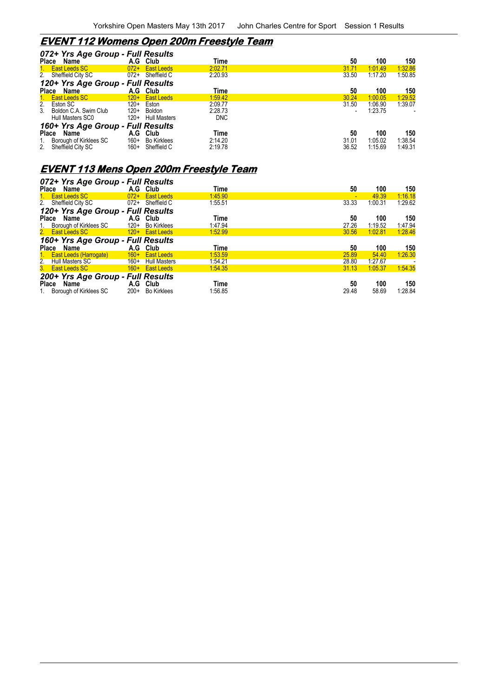# **EVENT 112 Womens Open 200m Freestyle Team**

|                                 | 072+ Yrs Age Group - Full Results                        |                            |                                           |                                  |                      |                           |                                     |
|---------------------------------|----------------------------------------------------------|----------------------------|-------------------------------------------|----------------------------------|----------------------|---------------------------|-------------------------------------|
| <b>Place</b>                    | Name                                                     | A.G                        | Club                                      | Time                             | 50                   | 100                       | 150                                 |
|                                 | <b>East Leeds SC</b>                                     | $072+$                     | <b>East Leeds</b>                         | 2:02.71                          | 31.71                | 1:01.49                   | 1:32.86                             |
|                                 | 2. Sheffield City SC                                     | 072+                       | Sheffield C                               | 2:20.93                          | 33.50                | 1:17.20                   | 1:50.85                             |
|                                 | 120+ Yrs Age Group - Full Results                        |                            |                                           |                                  |                      |                           |                                     |
|                                 | Place Name                                               | A.G                        | Club                                      | Time                             | 50                   | 100                       | 150                                 |
|                                 | 1. East Leeds SC                                         | $120+$                     | <b>East Leeds</b>                         | 1:59.42                          | 30.24                | 1:00.05                   | 1:29.52                             |
| 3 <sub>1</sub>                  | 2. Eston SC<br>Boldon C.A. Swim Club<br>Hull Masters SC0 | $120+$<br>$120+$<br>$120+$ | Eston<br>Boldon<br><b>Hull Masters</b>    | 2:09.77<br>2:28.73<br><b>DNC</b> | 31.50                | 1:06.90<br>1:23.75        | 1:39.07<br>$\overline{\phantom{a}}$ |
|                                 | 160+ Yrs Age Group - Full Results                        |                            |                                           |                                  |                      |                           |                                     |
| <b>Place</b><br>$\frac{1}{2}$ . | Name<br>Borough of Kirklees SC<br>Sheffield City SC      | A.G<br>$160+$<br>$160+$    | Club<br><b>Bo Kirklees</b><br>Sheffield C | Time<br>2:14.20<br>2:19.78       | 50<br>31.01<br>36.52 | 100<br>1:05.02<br>1:15.69 | 150<br>1:38.54<br>1:49.31           |

# **EVENT 113 Mens Open 200m Freestyle Team**

| 072+ Yrs Age Group - Full Results |                               |         |       |         |         |
|-----------------------------------|-------------------------------|---------|-------|---------|---------|
| Place Name                        | A.G Club                      | Time    | 50    | 100     | 150     |
| 1. East Leeds SC                  | $072+$<br><b>East Leeds</b>   | 1:45.90 |       | 49.39   | 1:16.18 |
| 2. Sheffield City SC              | 072+<br>Sheffield C           | 1:55.51 | 33.33 | 1:00.31 | 1:29.62 |
| 120+ Yrs Age Group - Full Results |                               |         |       |         |         |
| Place Name                        | A.G Club                      | Time    | 50    | 100     | 150     |
| 1. Borough of Kirklees SC         | $120+$<br><b>Bo Kirklees</b>  | 1:47.94 | 27.26 | 1:19.52 | 1:47.94 |
| 2. East Leeds SC                  | 120+ East Leeds               | 1:52.99 | 30.56 | 1:02.81 | 1:28.46 |
| 160+ Yrs Age Group - Full Results |                               |         |       |         |         |
| Place Name                        | A.G Club                      | Time    | 50    | 100     | 150     |
| 1. East Leeds (Harrogate)         | 160+ East Leeds               | 1:53.59 | 25.89 | 54.40   | 1:26.30 |
| 2. Hull Masters SC                | $160+$<br><b>Hull Masters</b> | 1:54.21 | 28.80 | 1.27.67 |         |
| 3. East Leeds SC                  | 160+ East Leeds               | 1:54.35 | 31.13 | 1:05.37 | 1:54.35 |
| 200+ Yrs Age Group - Full Results |                               |         |       |         |         |
| Place<br>Name                     | A.G Club                      | Time    | 50    | 100     | 150     |
| 1. Borough of Kirklees SC         | $200+$<br><b>Bo Kirklees</b>  | 1:56.85 | 29.48 | 58.69   | 1:28.84 |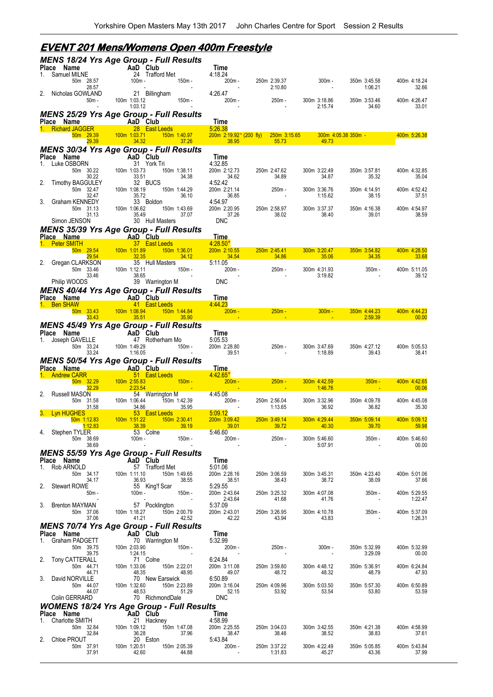#### *MENS 18/24 Yrs Age Group - Full Results* **Place Name Came AaD Club 7ime**<br>1. Samuel MILNE 24 Trafford Met 4:18.24 50m 28.57 100m - 150m - 200m - 250m 2:39.37 300m - 350m 3:45.58 400m 4:18.24 28.57 - - - 2:10.80 - 1:06.21 32.66 2. Nicholas GOWLAND 21 Billingham 4:26.47<br>50m - 100m 1:03.12 150m - 200m -50m - 100m 1:03.12 150m - 200m - 250m - 300m 3:18.86 350m 3:53.46 400m 4:26.47 - 1:03.12 - - - - - - - - - - - 2:15.74 34.60 33.01 *MENS 25/29 Yrs Age Group - Full Results* **Process Prame AaD Club**<br>**Place AaD Club** Time<br>**Place 28 East Leeds** 5:26.38 1. Richard JAGGER 28 East Leeds<br>50m 29.39 100m 1:03.71 150m 1:40.97 50m 29.39 100m 1:03.71 150m 1:40.97 200m 2:19.92 **\*** (200 fly) 250m 3:15.65 300m 4:05.38 350m - 400m 5:26.38 29.39 34.32 37.26 38.95 55.73 49.73 *MENS 30/34 Yrs Age Group - Full Results* **Place Name AaD Club Time**<br>1. Luke OSBORN 31 York Tri 4:32.85 50m 30.22 100m 1:03.73 150m 1:38.11 200m 2:12.73 250m 2:47.62 300m 3:22.49 350m 3:57.81 400m 4:32.85 30.22 33.51 34.38 34.62 34.89 34.87 35.32 35.04 2. Timothy BAGGULEY 32 BUCS 4:52.42<br>50m 32.47 100m 1:08.19 150m 1:44.29 200m 2:21.14<br>32.47 35.72 36.10 36.85 50m 32.47 100m 1:08.19 150m 1:44.29 200m 2:21.14 250m - 300m 3:36.76 350m 4:14.91 400m 4:52.42 32.47 35.72 36.10 36.85 - 1:15.62 38.15 37.51 3. Graham KENNEDY 33 Boldon 4:54.97<br>50m 31.13 100m 1:06.62 150m 1:43.69 200m 2:20.95<br>31.13 35.49 37.07 37.26 50m 31.13 100m 1:06.62 150m 1:43.69 200m 2:20.95 250m 2:58.97 300m 3:37.37 350m 4:16.38 400m 4:54.97 31.13 35.49 37.07 37.26 38.02 38.40 39.01 38.59 Simon JENSON 30 Hull Masters DNC *MENS 35/39 Yrs Age Group - Full Results* **Ce Name AaD Club Time**<br> **Peter SMITH 37 East Leeds** 4:28.50<sup>\*</sup> 1. Peter SMITH 37 East Leeds 4:28.50<sup>\*</sup><br>1. Peter SMITH 300m 2.54 50m 3.56.01 50m 2.10.55 50m 29.54 100m 1:01.89 150m 1:36.01 200m 2:10.55 250m 2:45.41 300m 3:20.47 350m 3:54.82 400m 4:28.50 29.54 32.35 34.12 34.54 34.86 35.06 34.35 33.68 Gregan CLARKSON 35 Hull Masters 5:11.05<br>50m 33.46 100m 1:12.11 150m - 200m -50m 33.46 100m 1:12.11 150m - 200m - 250m - 300m 4:31.93 350m - 400m 5:11.05 33.46 38.65 - - - 3:19.82 - 39.12 Philip WOODS 39 Warrington M DNC *MENS 40/44 Yrs Age Group - Full Results* **Place Name AaD Club Time**<br>1. Ben SHAW **1. AaD Aast Leeds 4:44.23** 50m 33.43 100m 1:08.94 150m 1:44.84 200m - 250m - 300m - 350m 4:44.23 400m 4:44.23  $33.43$  33.43  $35.51$   $35.90$   $35.90$   $35.90$   $35.90$   $35.90$   $35.90$   $35.90$   $35.90$   $36.90$ *MENS 45/49 Yrs Age Group - Full Results* **Place Plan Reserves**<br> **AaD Club** Time<br>
47 Rotherham Mo 5:05.53 1. Joseph GAVELLE 47 Rotherham Mo 5.05.53<br>50m 33.24 100m 1:49.29 150m - 200m 2:28.80 50m 33.24 100m 1:49.29 150m - 200m 2:28.80 250m - 300m 3:47.69 350m 4:27.12 400m 5:05.53 33.24 1:16.05 - 39.51 - 1:18.89 39.43 38.41 *MENS 50/54 Yrs Age Group - Full Results* **Place Name AaD Club Time** 1. Andrew CARR 51 East Leeds 4:42.65**\*** 50m 32.29 100m 2:55.83 150m - 200m - 250m - 300m 4:42.59 350m - 400m 4:42.65 32.29 2:23.54 - - - 1:46.76 - 00.06 2. Russell MASON 54 Warrington M 4:45.08 50m 31.58 100m 1:06.44 150m 1:42.39 200m - 250m 2:56.04 300m 3:32.96 350m 4:09.78 400m 4:45.08 31.58 34.86 35.95 - 1:13.65 36.92 36.82 35.30 3. Lyn HUGHES<br>50m 1:12.83 100m 1:51.22 150m 2:30.41 200m 3:09.42 50m 1:12.83 100m 1:51.22 150m 2:30.41 200m 3:09.42 250m 3:49.14 300m 4:29.44 350m 5:09.14 400m 5:09.12 1:12.83 38.39 39.19 39.01 39.72 40.30 39.70 59.98 4. Stephen TYLER 53 Colne 5:46.60 50m 38.69 100m - 150m - 200m - 250m - 300m 5:46.60 350m - 400m 5:46.60 38.69 - - - - 5:07.91 - 00.00 *MENS 55/59 Yrs Age Group - Full Results* **Place Name AaD Club Time** 1. Rob ARNOLD 57 Trafford Met 5:01.06 50m 34.17 100m 1:11.10 150m 1:49.65 200m 2:28.16 250m 3:06.59 300m 3:45.31 350m 4:23.40 400m 5:01.06 34.17 36.93 38.55 38.51 38.43 38.72 38.09 37.66 2. Stewart ROWE 55 King'f Scar 5:29.55 50m - 100m - 150m - 200m 2:43.64 250m 3:25.32 300m 4:07.08 350m - 400m 5:29.55 2:43.64 41.68 41.76 1:22.47<br>57 Pocklington 5.37.09 41.68 41.76 5.37.09 3. Brenton MAYMAN 57 Pocklington 5:37.09<br>537.09 50m 37.06 50m 1:18.27 150m 2:00.79 200m 2:43.01<br>42.52 42.22 42.22 50m 37.06 100m 1:18.27 150m 2:00.79 200m 2:43.01 250m 3:26.95 300m 4:10.78 350m - 400m 5:37.09 37.06 41.21 42.52 42.22 43.94 43.83 - 1:26.31 *MENS 70/74 Yrs Age Group - Full Results* **Place Name The AaD Club Time**<br>1. Graham PADGETT 70 Warrington M 5:32.99 50m 39.75 100m 2:03.90 150m - 200m - 250m - 300m - 350m 5:32.99 400m 5:32.99 39.75 1:24.15 - - - - - - - - - - - - - - - - 3:29.09 00.00 2. Tony CATTERALL 71 Colne 6:24.84<br>50m 44.71 100m 1:33.06 150m 2:22.01 200m 3:11.08 50m 44.71 100m 1:33.06 150m 2:22.01 200m 3:11.08 250m 3:59.80 300m 4:48.12 350m 5:36.91 400m 6:24.84 48.35 48.35<br>70 New Earswick 3. David NORVILLE 70 New Earswick 6:50.89<br>50m 44.07 100m 1:32.60 150m 2:23.89 200m 3:16.04 50m 44.07 100m 1:32.60 150m 2:23.89 200m 3:16.04 250m 4:09.96 300m 5:03.50 350m 5:57.30 400m 6:50.89 44.07 48.53 51.29 52.15 53.92 53.54 53.80 53.59 Colin GERRARD 70 RichmondDale DNC *WOMENS 18/24 Yrs Age Group - Full Results* **Place Name AaD Club Time** 1. Charlotte SMITH 21 Hackney 4:58.99 50m 32.84 100m 1:09.12 150m 1:47.08 200m 2:25.55 250m 3:04.03 300m 3:42.55 350m 4:21.38 400m 4:58.99 32.84 36.28 37.96 38.47 38.48 38.52 38.83 37.61 2. Chloe PROUT 32.84<br>
2. Chloe PROUT 20 Eston 5:43.84<br>
5:43.84<br>
5:43.84<br>
200m - 37.91<br>
200m - 120.51<br>
200m - 120.51<br>
200m - 150m 2:05.39 50m 37.91 100m 1:20.51 150m 2:05.39 200m - 250m 3:37.22 300m 4:22.49 350m 5:05.85 400m 5:43.84 37.91 42.60 44.88 - 1:31.83 45.27 43.36 37.99

### **EVENT 201 Mens/Womens Open 400m Freestyle**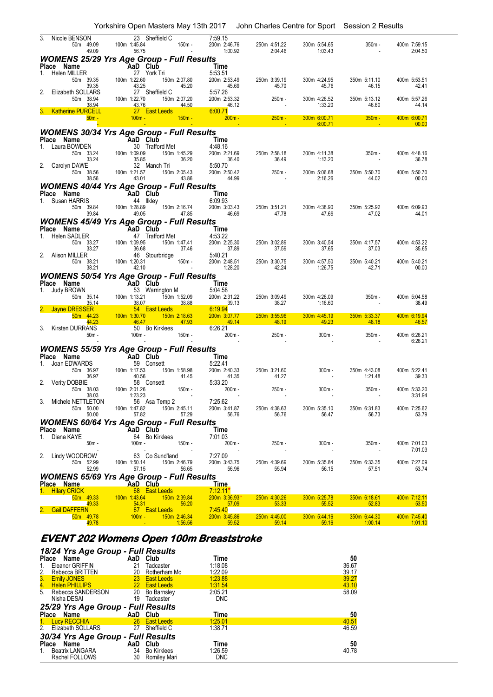|                                                                                  | Yorkshire Open Masters May 13th 2017   John Charles Centre for Sport   Session 2 Results                                                                           |                                                                                   |                                                                                                                            |                                                                                                                                                |                                    |                                |
|----------------------------------------------------------------------------------|--------------------------------------------------------------------------------------------------------------------------------------------------------------------|-----------------------------------------------------------------------------------|----------------------------------------------------------------------------------------------------------------------------|------------------------------------------------------------------------------------------------------------------------------------------------|------------------------------------|--------------------------------|
| Nicole BENSON<br>50m 49.09<br>49.09                                              | 23 Sheffield C<br>100m 1:45.84<br>$150m -$<br>56.75                                                                                                                | 7:59.15<br>200m 2:46.76<br>1:00.92                                                | 250m 4:51.22<br>2:04.46                                                                                                    | 300m 5:54.65<br>1:03.43                                                                                                                        | $350m -$                           | 400m 7:59.15<br>2:04.50        |
| Place Name<br>1. Helen MILLER                                                    | <b>WOMENS 25/29 Yrs Age Group - Full Results</b><br><b>AaD Club</b><br>27 York Ti<br>39.35 100m 1:22.60<br>27 York Tri                                             | Time<br>5:53.51                                                                   |                                                                                                                            |                                                                                                                                                |                                    |                                |
| 50m 39.35<br>39.35<br>2.<br>Elizabeth SOLLARS                                    | 150m 2:07.80<br>45.20<br>43.25<br>27 Sheffield C                                                                                                                   | 200m 2:53.49<br>45.69<br>5:57.26                                                  | 250m 3:39.19<br>45.70                                                                                                      | 300m 4:24.95<br>45.76                                                                                                                          | 350m 5:11.10<br>46.15              | 400m 5:53.51<br>42.41          |
| 50m 38.94<br>38.94<br><b>Katherine PURCELL</b>                                   | 100m 1:22.70<br>150m 2:07.20<br>43.76<br>27 East Leeds                                                                                                             | 200m 2:53.32                                                                      | $250m -$                                                                                                                   | 300m 4:26.52<br>1:33.20                                                                                                                        | 350m 5:13.12<br>46.60              | 400m 5:57.26<br>44.14          |
| $50m -$                                                                          | $100m -$<br><b>Service Service</b>                                                                                                                                 | $\frac{44.50}{450m}$ 6:00.7 m                                                     | and the state of the state of the state of the state of the state of the state of the state of the state of th<br>$250m -$ | 300m 6:00.71<br>6:00.71                                                                                                                        | $350m -$                           | 400m 6:00.71<br>00.00          |
|                                                                                  | <b>WOMENS 30/34 Yrs Age Group - Full Results</b>                                                                                                                   |                                                                                   |                                                                                                                            |                                                                                                                                                |                                    |                                |
| Place Name<br>1. Laura BOWDEN 30 Trafform<br>50m 33.24 100m 1.09.09              | <u>in the second second second</u> second second second second second second second second second second second second<br>30 Trafford Met                          | 4:48.16                                                                           |                                                                                                                            |                                                                                                                                                |                                    |                                |
| 33.24<br>2. Carolyn DAWE                                                         | rd Met<br>150m 1:45.29<br>36.20<br>h Tri<br>150m 2:05.43<br>35.85<br>32 Manch Tri                                                                                  | 200m 2:21.69<br>36.40<br>5:50.70                                                  | 250m 2:58.18<br>36.49                                                                                                      | 300m 4:11.38<br>1:13.20                                                                                                                        | $350m -$                           | 400m 4:48.16<br>36.78          |
| 50m 38.56<br>38.56                                                               | 100m 1:21.57<br>43.01<br>43.86                                                                                                                                     | 200m 2:50.42<br>44.99                                                             | 250m -                                                                                                                     | 300m 5:06.68<br>2:16.26                                                                                                                        | 350m 5:50.70<br>44.02              | 400m 5:50.70<br>00.00          |
| Place Name                                                                       | <b>WOMENS 40/44 Yrs Age Group - Full Results</b><br>$\begin{array}{cc}\n\text{AaD} & \text{Club} \\ \text{Aa} & \text{IIklev}\n\end{array}$                        | Time                                                                              |                                                                                                                            |                                                                                                                                                |                                    |                                |
| 1. Susan HARRIS<br>50m 39.84<br>39.84                                            | 44 Ilkley<br>100m 1:28.89<br>150m 2:16.74<br>49.05<br>47.85                                                                                                        | 6:09.93<br>200m 3:03.43<br>46.69                                                  | 250m 3:51.21<br>47.78                                                                                                      | 300m 4:38.90<br>47.69                                                                                                                          | 350m 5:25.92<br>47.02              | 400m 6:09.93<br>44.01          |
|                                                                                  | <b>WOMENS 45/49 Yrs Age Group - Full Results</b>                                                                                                                   |                                                                                   |                                                                                                                            |                                                                                                                                                |                                    |                                |
| 33.27                                                                            | <b>Place Name 47 Club</b><br>1. Helen SADLER 47 Trafford Met<br>50m 33.27 100m 1:09.95 150m 1<br><b>Example 1</b> Time<br>rd Met<br>150m 1:47.41<br>37.46<br>36.68 | 4:53.22<br>200m 2:25.30<br>37.89                                                  | 250m 3:02.89<br>37.59                                                                                                      | 300m 3:40.54<br>37.65                                                                                                                          | 350m 4:17.57<br>37.03              | 400m 4:53.22<br>35.65          |
| 2. Alison MILLER<br>50m 38.21<br>38.21                                           | 46 Stourbridge<br>100m 1:20.31<br>150m -<br>42.10                                                                                                                  | 5:40.21<br>1:28.20                                                                | 3.40.21<br>200m 2:48.51 250m 3:30.75<br>1:28.20 42.24<br>42.24                                                             | 300m 4:57.50<br>1:26.75                                                                                                                        | 350m 5:40.21<br>42.71              | 400m 5:40.21<br>00.00          |
|                                                                                  | <b>WOMENS 50/54 Yrs Age Group - Full Results</b>                                                                                                                   |                                                                                   |                                                                                                                            |                                                                                                                                                |                                    |                                |
| Place Name<br>1. Judy BROWN                                                      | <b>AaD Club</b><br>53 Warrington M<br>35.14 100m 1:13.21 150m 1:                                                                                                   | Time<br>5:04.58                                                                   |                                                                                                                            |                                                                                                                                                |                                    |                                |
| 50m 35.14<br>35.14<br>2. Jayne DRESSER                                           | 150m 1:52.09<br>38.07<br>54 East Leeds                                                                                                                             | 1:52.09 2<br>38.88 6:1\\<br>9.63 200m<br>6:26<br>200m 2:31.22<br>39.13<br>6:19.94 | 250m 3:09.49<br>38.27                                                                                                      | 300m 4:26.09<br>1:16.60                                                                                                                        | $350m -$                           | 400m 5:04.58<br>38.49          |
| 50m 44.23<br>44.23                                                               | 100m 1:30.70<br>150m 2:18.63<br>46.47                                                                                                                              | 200m 3:07.77<br>49.14                                                             | 250m 3:55.96<br>48.19                                                                                                      | 300m 4:45.19<br>49.23                                                                                                                          | 350m 5:33.37<br>48.18              | 400m 6:19.94<br>46.57          |
| 3. Kirsten DURRANS<br>$50m -$                                                    | 50 Bo Kirklees<br>$100m -$                                                                                                                                         | 6:26.21<br>200m -                                                                 | 250m -                                                                                                                     | $300m -$                                                                                                                                       | $350m -$<br>$\sim$                 | 400m 6:26.21<br>6:26.21        |
| Place Name                                                                       | <b>WOMENS 55/59 Yrs Age Group - Full Results</b><br>$\lim_{5 \cdot 22 \cdot 44}$                                                                                   |                                                                                   |                                                                                                                            |                                                                                                                                                |                                    |                                |
| 1.<br>36.97                                                                      | Ce Name<br>Joan EDWARDS<br>59 Conset<br>50m 36.97<br>36.97<br>36.97<br>40.56<br>59 Consett<br>150m 1:58.98<br>41.45<br>40.56                                       | $\frac{5:22}{200}$<br>200m<br>5:22.41<br>200m 2:40.33<br>41.35                    | 250m 3:21.60<br>41.27                                                                                                      | $300m -$                                                                                                                                       | 350m 4:43.08<br>1:21.48            | 400m 5:22.41<br>39.33          |
| 2. Verity DOBBIE<br>50m 38.03                                                    | 58 Consett<br>100m 2:01.26<br>150m -                                                                                                                               | 5:33.20<br>200m -                                                                 | 250m -<br><b>Contractor</b>                                                                                                | $300m -$<br>$\sim 100$                                                                                                                         | 350m -<br>$\sim$                   | 400m 5:33.20<br>3:31.94        |
| 50.00                                                                            | 38.03<br>3. Michele NETTLETON 56 Asa Temp 2 7:25.62<br>50m 50.00 100m 1:47.82 150m 2:45.11 200m 3:41.87<br>57.82<br>57.29                                          | 56.76                                                                             | 200m 3:41.87 250m 4:38.63<br>56.76                                                                                         | 56.47                                                                                                                                          | 300m 5:35.10 350m 6:31.83<br>56.73 | 400m 7:25.62<br>53.79          |
|                                                                                  | <b>WOMENS 60/64 Yrs Age Group - Full Results</b>                                                                                                                   | Time                                                                              |                                                                                                                            |                                                                                                                                                |                                    |                                |
| <b>Place Name</b><br>1 Diana KAYE <b>ARD Club</b><br>64 Bo Kirk<br>1. Diana KAYE | 64 Bo Kirklees<br>100m - 150m -                                                                                                                                    | 7:01.03                                                                           |                                                                                                                            |                                                                                                                                                |                                    |                                |
| $50m -$                                                                          | 2. Lindy WOODROW 63 Co Sund'land<br>50m 52.99 100m 1:50.14 150m 2:46.70                                                                                            | $200m -$<br>7:27.09                                                               | 250m -                                                                                                                     | $300m -$                                                                                                                                       | $350m -$                           | 400m 7:01.03<br>7:01.03        |
| 52.99                                                                            | 57.15<br>56.65                                                                                                                                                     | 200m 3:43.75<br>56.96                                                             | 250m 4:39.69<br>55.94                                                                                                      | 300m 5:35.84<br>56.15                                                                                                                          | 350m 6:33.35<br>57.51              | 400m 7:27.09<br>53.74          |
|                                                                                  | <b>WOMENS 65/69 Yrs Age Group - Full Results</b>                                                                                                                   | <u>___Time_</u>                                                                   |                                                                                                                            |                                                                                                                                                |                                    |                                |
| 49.33                                                                            | Place Name<br>1. Hilary CRICK<br>50m 49.33 100m 1:43.64 150m 2:39.84<br>150m 2:39.84<br>56.20<br>54.31<br><b>CONTRACTOR</b>                                        | $7:12.11*$<br>$200m$ 3:36.93*<br>$-57.09$                                         | 250m 4:30.26<br>53.33                                                                                                      | 300m 5:25.78<br>55.52                                                                                                                          | $350m$ 6:18.61<br>52.83            | 400m 7:12.11<br>53.50          |
| 2. Gail DAFFERN<br>50m  49.78<br>49.78                                           | 2:46.34<br>67 East Leeds<br>100m - 150m 2:46.34<br>$-1.56.56$                                                                                                      | 7:45.40<br>200m 3:45.86<br>$\overline{59.52}$                                     | 250m 4:45.00<br>59.14                                                                                                      | 300m 5:44.16<br>59.16<br><b>Contract Contract Contract Contract Contract Contract Contract Contract Contract Contract Contract Contract Co</b> | 350m 6:44.30<br>$-1.00.14$         | 400m 7:45.40<br>$\sim$ 1:01.10 |

### **EVENT 202 Womens Open 100m Breaststroke**

| 18/24 Yrs Age Group - Full Results                       |                          |            |       |
|----------------------------------------------------------|--------------------------|------------|-------|
| Place Name                                               | AaD Club                 | Time       | 50    |
| Eleanor GRIFFIN<br>1.                                    | 21<br>Tadcaster          | 1:18.08    | 36.67 |
| Rebecca BRITTEN                                          | Rotherham Mo<br>20       | 1:22.09    | 39.17 |
|                                                          | 23 East Leeds            | 1:23.88    | 39.27 |
| 2. Rebecca BRITTE<br>3. Emily JONES<br>4. Helen PHILLIPS | 22 East Leeds            | 1:31.54    | 43.10 |
| 5.<br>Rebecca SANDERSON                                  | 20 Bo Barnsley           | 2:05.21    | 58.09 |
| Nisha DESAI                                              | 19<br>Tadcaster          | <b>DNC</b> |       |
|                                                          |                          |            |       |
|                                                          |                          |            |       |
| 25/29 Yrs Age Group - Full Results<br>Place Name         | AaD Club                 | Time       | 50    |
|                                                          | 26 East Leeds            | 1:25.01    | 40.51 |
| 1. Lucy RECCHIA<br>2. Elizabeth SOLLARS                  | 27<br>Sheffield C        | 1:38.71    | 46.59 |
|                                                          |                          |            |       |
| 30/34 Yrs Age Group - Full Results<br>Place Name         | AaD Club                 | Time       | 50    |
| <b>Beatrix LANGARA</b><br>$1_{\cdot}$                    | 34<br><b>Bo Kirklees</b> | 1:26.59    | 40.78 |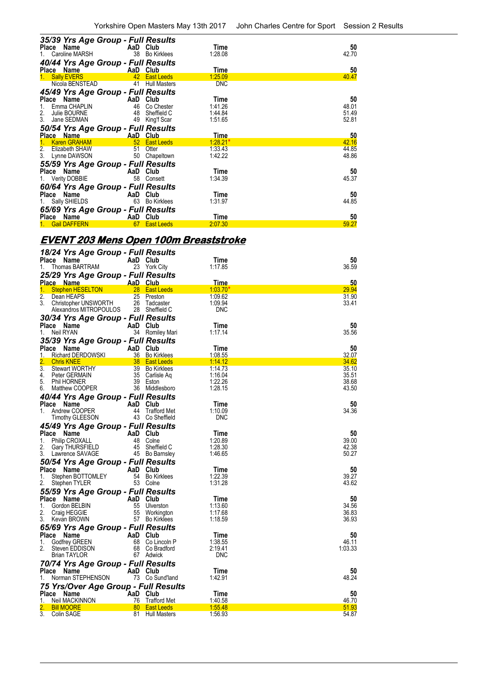| 35/39 Yrs Age Group - Full Results         |                           |                      |             |       |
|--------------------------------------------|---------------------------|----------------------|-------------|-------|
| Place Name<br><b>Example 2018</b> AaD Club |                           |                      | Time        | 50    |
| 1. Caroline MARSH                          |                           | 38 Bo Kirklees       | 1:28.08     | 42.70 |
| 40/44 Yrs Age Group - Full Results         |                           |                      |             |       |
| Place Name AaD Club                        |                           |                      | Time        | 50    |
| <b>Sally EVERS</b>                         |                           | <b>42</b> East Leeds | 1:25.09     | 40.47 |
| Nicola BENSTEAD                            |                           | 41 Hull Masters      | <b>DNC</b>  |       |
| 45/49 Yrs Age Group - Full Results         |                           |                      |             |       |
| Place Name                                 | <b>Example 2</b> AaD Club |                      | Time        | 50    |
| Emma CHAPLIN                               |                           | 46 Co Chester        | 1:41.26     | 48.01 |
| 2. Julie BOURNE                            |                           | 48 Sheffield C       | 1:44.84     | 51.49 |
| 3. Jane SEDMAN                             |                           | 49 King'f Scar       | 1:51.65     | 52.81 |
| 50/54 Yrs Age Group - Full Results         |                           |                      |             |       |
| Place Name                                 | <b>AaD Club</b>           |                      | <u>Time</u> | 50    |
| 1 Karen GRAHAM                             | <b>1988</b> 52 East Leeds |                      | $1:28.21*$  | 42.16 |
| 2. Elizabeth SHAW                          | 51 Otter                  |                      | 1:33.43     | 44.85 |
| 3. Lynne DAWSON                            |                           | 50 Chapeltown        | 1:42.22     | 48.86 |
| 55/59 Yrs Age Group - Full Results         |                           |                      |             |       |
| Place Name<br><b>Example 2</b> AaD Club    |                           |                      | Time        | 50    |
| 1. Verity DOBBIE                           |                           | 58 Consett           | 1:34.39     | 45.37 |
| 60/64 Yrs Age Group - Full Results         |                           |                      |             |       |
| Place Name                                 | AaD Club                  |                      | Time        | 50    |
| 1. Sally SHIELDS                           | 63                        | Bo Kirklees          | 1:31.97     | 44.85 |
| 65/69 Yrs Age Group - Full Results         |                           |                      |             |       |
| Place Name                                 | AaD Club                  |                      | Time        | 50    |
| <b>Gail DAFFERN</b>                        | 67                        | <b>East Leeds</b>    | 2:07.30     | 59.27 |
|                                            |                           |                      |             |       |

## **EVENT 203 Mens Open 100m Breaststroke**

| 18/24 Yrs Age Group - Full Results<br>Place<br>Name                      | AaD Club       |                                        | Time                             | 50             |
|--------------------------------------------------------------------------|----------------|----------------------------------------|----------------------------------|----------------|
| Thomas BARTRAM<br>1.                                                     |                | 23 York City                           | 1:17.85                          | 36.59          |
| 25/29 Yrs Age Group - Full Results                                       |                |                                        |                                  |                |
| <b>Place Name</b>                                                        | AaD Club       |                                        | Time                             | 50             |
| <b>Stephen HESELTON</b><br>1.                                            | 28             | <b>East Leeds</b>                      | 1:03.70"                         | 29.94          |
| 2.<br>Dean HEAPS<br>3.<br>Christopher UNSWORTH<br>Alexandros MITROPOULOS | 25<br>26       | Preston<br>Tadcaster<br>28 Sheffield C | 1:09.62<br>1:09.94<br><b>DNC</b> | 31.90<br>33.41 |
| 30/34 Yrs Age Group - Full Results                                       |                |                                        |                                  |                |
| Place Name                                                               | AaD Club       |                                        | Time                             | 50             |
| Neil RYAN<br>1.                                                          |                | 34 Romiley Mari                        | 1:17.14                          | 35.56          |
| 35/39 Yrs Age Group - Full Results                                       |                |                                        |                                  |                |
| Place Name                                                               | AaD Club       |                                        | Time                             | 50             |
| Richard DERDOWSKI<br>1.                                                  |                | 36 Bo Kirklees                         | 1:08.55                          | 32.07          |
| <b>Chris KNEE</b>                                                        |                | 38 East Leeds                          | 1:14.12                          | 34.62          |
| 3.<br><b>Stewart WORTHY</b>                                              | 39             | <b>Bo Kirklees</b>                     | 1:14.73                          | 35.10          |
| 4.<br>Peter GERMAIN<br>5.<br>Phil HORNER                                 |                | 35 Carlisle Aq<br>39 Eston             | 1:16.04<br>1:22.26               | 35.51<br>38.68 |
| Matthew COOPER<br>6.                                                     |                | 36 Middlesboro                         | 1:28.15                          | 43.50          |
| 40/44 Yrs Age Group - Full Results                                       |                |                                        |                                  |                |
| Place Name                                                               | AaD Club       |                                        | Time                             | 50             |
| Andrew COOPER<br>1.                                                      | 44             | <b>Trafford Met</b>                    | 1:10.09                          | 34.36          |
| <b>Timothy GLEESON</b>                                                   |                | 43 Co Sheffield                        | <b>DNC</b>                       |                |
| 45/49 Yrs Age Group - Full Results                                       |                |                                        |                                  |                |
| Place Name                                                               | AaD            | Club                                   | Time                             | 50             |
| <b>Philip CROXALL</b><br>1.                                              | 48             | Colne                                  | 1:20.89                          | 39.00          |
| 2.<br>Gary THURSFIELD                                                    | 45             | Sheffield C                            | 1:28.30                          | 42.38          |
| 3.<br>Lawrence SAVAGE                                                    |                | 45 Bo Barnsley                         | 1:46.65                          | 50.27          |
| 50/54 Yrs Age Group - Full Results                                       |                |                                        |                                  |                |
| Place Name                                                               | AaD Club       |                                        | Time                             | 50             |
| 1.<br>Stephen BOTTOMLEY                                                  |                | 54 Bo Kirklees                         | 1:22.39                          | 39.27          |
| 2.<br>Stephen TYLER                                                      |                | 53 Colne                               | 1:31.28                          | 43.62          |
| 55/59 Yrs Age Group - Full Results                                       |                |                                        |                                  |                |
| Place Name                                                               | AaD Club       |                                        | Time                             | 50             |
| 1.<br>Gordon BELBIN                                                      | 55             | Ulverston                              | 1:13.60                          | 34.56          |
| 2.<br>Craig HEGGIE                                                       | 55             | Workington                             | 1:17.68                          | 36.83          |
| 3.<br>Kevan BROWN                                                        | 57             | <b>Bo Kirklees</b>                     | 1:18.59                          | 36.93          |
| 65/69 Yrs Age Group - Full Results                                       |                |                                        |                                  |                |
| Place Name                                                               | AaD Club       |                                        | Time                             | 50             |
| 1.<br>Godfrey GREEN                                                      | 68             | Co Lincoln P                           | 1:38.55                          | 46.11          |
| 2.<br>Steven EDDISON                                                     | 68             | Co Bradford                            | 2:19.41<br><b>DNC</b>            | 1:03.33        |
| Brian TAYLOR                                                             |                | 67 Adwick                              |                                  |                |
| 70/74 Yrs Age Group - Full Results                                       |                |                                        |                                  |                |
| Place Name<br>Norman STEPHENSON                                          | AaD Club       | 73 Co Sund'land                        | Time<br>1:42.91                  | 50<br>48.24    |
| 1.                                                                       |                |                                        |                                  |                |
| 75 Yrs/Over Age Group - Full Results                                     |                |                                        |                                  |                |
| Place Name<br>1.<br>Neil MACKINNON                                       | AaD Club<br>76 | Trafford Met                           | Time<br>1:40.58                  | 50<br>46.70    |
| <b>Bill MOORE</b>                                                        | 80             | <b>East Leeds</b>                      | 1:55.48                          | 51.93          |
| 3.<br>Colin SAGE                                                         | 81             | <b>Hull Masters</b>                    | 1:56.93                          | 54.87          |
|                                                                          |                |                                        |                                  |                |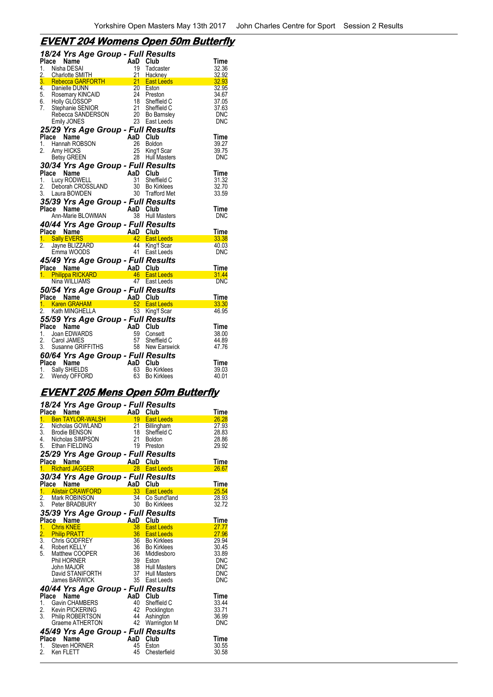# **EVENT 204 Womens Open 50m Butterfly**

|          | 18/24 Yrs Age Group - Full Results                                                    |          |                                 |                |
|----------|---------------------------------------------------------------------------------------|----------|---------------------------------|----------------|
|          | Place<br>Name                                                                         | AaD Club |                                 | Time           |
| 1.       | Nisha DESAI                                                                           | 19<br>21 | Tadcaster                       | 32.36          |
| 2.       | Charlotte SMITH<br>3. Rebecca GARFORTH                                                | 21       | Hackney<br><b>East Leeds</b>    | 32.92<br>32.93 |
|          | 4. Danielle DUNN                                                                      | 20       | Eston                           | 32.95          |
|          |                                                                                       | 24       | Preston                         | 34.67          |
|          | 5. Rosemary KINCAID<br>6. Holly GLOSSOP                                               |          | 18 Sheffield C                  | 37.05          |
| 7.       | Stephanie SENIOR                                                                      |          | 21 Sheffield C                  | 37.63          |
|          | Rebecca SANDERSON                                                                     |          | 20 Bo Barnsley                  | <b>DNC</b>     |
|          | <b>Emily JONES</b>                                                                    |          | 23 East Leeds                   | DNC            |
|          | 25/29 Yrs Age Group - Full Results                                                    |          |                                 |                |
|          | Place<br>Name                                                                         | AaD Club |                                 | <b>Time</b>    |
| 1.<br>2. | Hannah ROBSON                                                                         | 26       | <b>Boldon</b><br>25 King'f Scar | 39.27<br>39.75 |
|          | Amy HICKS<br><b>Betsy GREEN</b>                                                       | 28       | <b>Hull Masters</b>             | <b>DNC</b>     |
|          |                                                                                       |          |                                 |                |
|          | 30/34 Yrs Age Group - Full Results<br>Place Name                                      | AaD Club |                                 | Time           |
|          | 1. Lucy RODWELL                                                                       | 31       | Sheffield C                     | 31.32          |
| 2.       | Deborah CROSSLAND                                                                     | 30       | <b>Bo Kirklees</b>              | 32.70          |
|          | 3. Laura BOWDEN                                                                       |          | 30 Trafford Met                 | 33.59          |
|          | 35/39 Yrs Age Group - Full Results                                                    |          |                                 |                |
|          | Place<br>Name                                                                         | AaD Club |                                 | <b>Time</b>    |
|          | Ann-Marie BLOWMAN                                                                     |          | 38 Hull Masters                 | DNC            |
|          | 40/44 Yrs Age Group - Full Results                                                    |          |                                 |                |
|          | Place Name                                                                            | AaD Club |                                 | Time           |
|          | 1. Sally EVERS                                                                        |          | 42 East Leeds                   | 33.38          |
| 2.       | Jayne BLIZZARD                                                                        | 44       | King'f Scar                     | 40.03          |
|          | Emma WOODS                                                                            |          | 41 East Leeds                   | DNC            |
|          | 45/49 Yrs Age Group - Full Results                                                    |          |                                 |                |
|          | 1. Philippa RICKARD<br>1. Philippa RICKARD 46 East L<br>1. Philippa RICKARD 47 East L |          |                                 | <b>Time</b>    |
|          |                                                                                       |          | 46 East Leeds                   | 31.44          |
|          |                                                                                       |          | 47 East Leeds                   | DNC            |
|          | 50/54 Yrs Age Group - Full Results                                                    |          |                                 |                |
|          | Place Name<br>AaD<br>$rac{52}{53}$                                                    |          | Club                            | Time           |
|          | 1. Karen GRAHAM                                                                       | $52-$    | <b>East Leeds</b>               | 33.30          |
|          | 2. Kath MINGHELLA                                                                     |          | 53 King'f Scar                  | 46.95          |
|          | 55/59 Yrs Age Group - Full Results                                                    |          |                                 |                |
|          | Place<br>Name                                                                         | AaD Club |                                 | <b>Time</b>    |
|          | 1. Joan EDWARDS                                                                       | 59       | Consett                         | 38.00          |
|          | 2. Carol JAMES<br>3. Susanne GRIFFITHS                                                | 57       | Sheffield C<br>58 New Earswick  | 44.89<br>47.76 |
|          |                                                                                       |          |                                 |                |
|          | 60/64 Yrs Age Group - Full Results                                                    | AaD Club |                                 |                |
|          | Place Name<br>1. Sally SHIELDS                                                        | 63       | <b>Bo Kirklees</b>              | Time<br>39.03  |
| 2.       | Wendy OFFORD                                                                          | 63       | <b>Bo Kirklees</b>              | 40.01          |
|          |                                                                                       |          |                                 |                |

# **EVENT 205 Mens Open 50m Butterfly**

|                  | 18/24 Yrs Age Group - Full Results                                                                                                                                                                           |                                                                      | Club               |                      |
|------------------|--------------------------------------------------------------------------------------------------------------------------------------------------------------------------------------------------------------|----------------------------------------------------------------------|--------------------|----------------------|
| <b>Place</b>     | Name<br>1. Ben TAYLOR-WALSH 19 East Leeds                                                                                                                                                                    | <b>AaD</b>                                                           |                    | <b>Time</b><br>26.28 |
|                  |                                                                                                                                                                                                              |                                                                      | 21 Billingham      | 27.93                |
|                  | 2. Nicholas GOWLAND<br>3. Brodie BENSON<br>4. Nicholas SIMPSON<br>5. Ethan FIELDING<br>19                                                                                                                    |                                                                      | Sheffield C        | 28.83                |
|                  |                                                                                                                                                                                                              |                                                                      | Boldon             | 28.86                |
|                  |                                                                                                                                                                                                              |                                                                      | Preston            | 29.92                |
|                  |                                                                                                                                                                                                              |                                                                      |                    |                      |
|                  | 25/29 Yrs Age Group - Full Results                                                                                                                                                                           |                                                                      |                    |                      |
|                  |                                                                                                                                                                                                              |                                                                      | 28 East Leeds      | Time<br>26.67        |
|                  | Fiace Name<br>1. Richard JAGGER 28 East L                                                                                                                                                                    |                                                                      |                    |                      |
|                  | 30/34 Yrs Age Group - Full Results<br>30/34 Yrs Age 100<br>Place Name AaD Club<br>1. Alistair CRAWFORD 33 East Leeds<br>2 Mark ROBINSON 34 Co Sund'lar<br>2 Mark ROBINSON 30 Bo Kirklees<br>2 10 Bo Kirklees |                                                                      |                    |                      |
|                  |                                                                                                                                                                                                              |                                                                      |                    | Time                 |
|                  |                                                                                                                                                                                                              |                                                                      |                    | 25.54                |
|                  |                                                                                                                                                                                                              |                                                                      | Co Sund'land       | 28.93                |
|                  |                                                                                                                                                                                                              |                                                                      |                    | 32.72                |
|                  | 35/39 Yrs Age Group - Full Results                                                                                                                                                                           |                                                                      |                    |                      |
| Place            | Name                                                                                                                                                                                                         | AaD Club                                                             |                    | Time                 |
| 1.               | <b>Chris KNEE</b>                                                                                                                                                                                            |                                                                      | 38 East Leeds      | 27.77                |
|                  | 2. Philip PRATT<br>3. Chris GODFREY                                                                                                                                                                          | <b>1988 East Leeds</b>                                               |                    | 27.96                |
|                  |                                                                                                                                                                                                              |                                                                      | 36 Bo Kirklees     | 29.94                |
|                  | 4. Robert KELLY                                                                                                                                                                                              | 36                                                                   | <b>Bo Kirklees</b> | 30.45                |
|                  | 5. Matthew COOPER                                                                                                                                                                                            | 36                                                                   | Middlesboro        | 33.89                |
|                  | <b>Phil HORNER</b>                                                                                                                                                                                           | 39                                                                   | Eston              | <b>DNC</b>           |
|                  | John MAJOR                                                                                                                                                                                                   |                                                                      |                    | <b>DNC</b>           |
|                  | David STANIFORTH                                                                                                                                                                                             |                                                                      |                    | <b>DNC</b>           |
|                  | James BARWICK                                                                                                                                                                                                | الكافية المسافية 38 Hull Masters<br>37 Hull Masters<br>35 East Leade |                    | <b>DNC</b>           |
|                  | 40/44 Yrs Age Group - Full Results                                                                                                                                                                           |                                                                      |                    |                      |
| Place            | Name                                                                                                                                                                                                         | AaD Club                                                             |                    | Time                 |
|                  | 1. Gavin CHAMBERS                                                                                                                                                                                            | $\frac{40}{42}$                                                      | Sheffield C        | 33.44                |
|                  | 2. Kevin PICKERING                                                                                                                                                                                           |                                                                      | Pocklington        | 33.71                |
| $\overline{3}$ . | Philip ROBERTSON 44                                                                                                                                                                                          |                                                                      | Ashington          | 36.99                |
|                  | Graeme ATHERTON                                                                                                                                                                                              | 42                                                                   | Warrington M       | <b>DNC</b>           |
|                  | 45/49 Yrs Age Group - Full Results                                                                                                                                                                           |                                                                      |                    |                      |
| Place            | Name                                                                                                                                                                                                         | AaD Club                                                             |                    | Time                 |
| 1.               | Steven HORNER                                                                                                                                                                                                | 45                                                                   | Eston              | 30.55                |
| 2.               | Ken FLETT                                                                                                                                                                                                    | 45                                                                   | Chesterfield       | 30.58                |
|                  |                                                                                                                                                                                                              |                                                                      |                    |                      |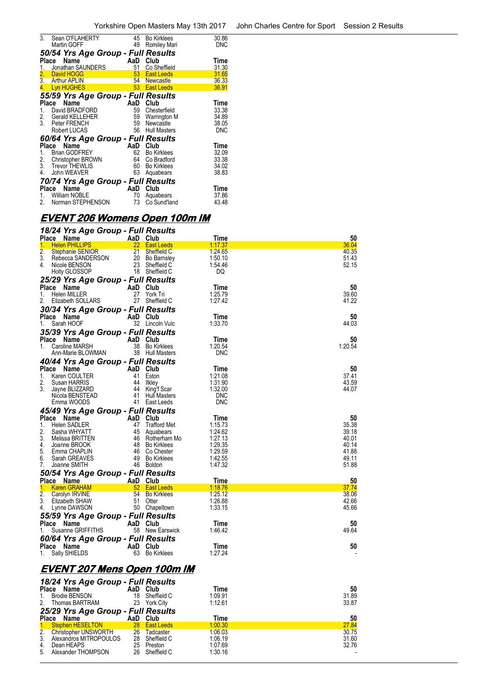| 3.               | Sean O'FLAHERTY<br>Martin GOFF     | 45<br>49        | <b>Bo Kirklees</b><br>Romiley Mari | 30.86<br><b>DNC</b> |
|------------------|------------------------------------|-----------------|------------------------------------|---------------------|
|                  | 50/54 Yrs Age Group - Full Results |                 |                                    |                     |
|                  | Name<br><b>Place</b>               | AaD             | Club                               | Time                |
|                  | Jonathan SAUNDERS                  | 51              | Co Sheffield                       | 31.30               |
| 2.               | David HOGG                         | 53 <sup>2</sup> | <b>East Leeds</b>                  | 31.65               |
|                  | 3. Arthur APLIN                    | 54              | Newcastle                          | 36.33               |
| $\overline{4}$ . | Lyn HUGHES                         |                 | 53 East Leeds                      | 36.91               |
|                  | 55/59 Yrs Age Group - Full Results |                 |                                    |                     |
|                  | Name<br><b>Place</b>               | AaD             | Club                               | Time                |
| 1.               | David BRADFORD                     | 59              | Chesterfield                       | 33.38               |
|                  | 2. Gerald KELLEHER                 | 59              | Warrington M                       | 34.89               |
|                  | 3. Peter FRENCH                    | 59              | Newcastle                          | 38.05               |
|                  | Robert LUCAS                       | 56              | <b>Hull Masters</b>                | <b>DNC</b>          |
|                  | 60/64 Yrs Age Group - Full Results |                 |                                    |                     |
|                  | Name<br>Place                      | AaD             | Club                               | Time                |
| 1.               | <b>Brian GODFREY</b>               | 62              | <b>Bo Kirklees</b>                 | 32.09               |
| 2.               | Christopher BROWN                  | 64              | Co Bradford                        | 33.38               |
| 3.               | <b>Trevor THEWLIS</b>              | 60              | <b>Bo Kirklees</b>                 | 34.02               |
|                  | 4. John WEAVER                     | 63              | Aquabears                          | 38.83               |
|                  | 70/74 Yrs Age Group - Full Results |                 |                                    |                     |
|                  | Name<br>Place                      | AaD             | Club                               | Time                |
|                  | 1. William NOBLE                   | 70              | Aquabears                          | 37.86               |
| 2.               | Norman STEPHENSON                  | 73              | Co Sund'land                       | 43.48               |
|                  |                                    |                 |                                    |                     |

# **EVENT 206 Womens Open 100m IM**

| 18/24 Yrs Age Group - Full Results               |          |                                     |                        |                |
|--------------------------------------------------|----------|-------------------------------------|------------------------|----------------|
| Place Name<br><b>Helen PHILLIPS</b><br>1.        | AaD Club | 22 East Leeds                       | Time<br><u>1:17.37</u> | 50<br>36.04    |
| $\overline{2}$ .<br>Stephanie SENIOR             | 21       | Sheffield C                         | 1:24.65                | 40.35          |
| 3.<br>Rebecca SANDERSON                          |          | 20 Bo Barnsley                      | 1:50.10                | 51.43          |
| 4.<br>Nicole BENSON                              |          | 23 Sheffield C                      | 1:54.46                | 52.15          |
| Holly GLOSSOP                                    |          | 18 Sheffield C                      | DQ                     |                |
|                                                  |          |                                     |                        |                |
| 25/29 Yrs Age Group - Full Results               |          |                                     |                        |                |
| Place Name                                       | AaD      | Club                                | Time                   | 50             |
| 1.<br><b>Helen MILLER</b>                        | 27       | York Tri                            | 1:25.79                | 39.60          |
| 2.<br>Elizabeth SOLLARS                          | 27       | Sheffield C                         | 1:27.42                | 41.22          |
| 30/34 Yrs Age Group - Full Results               |          |                                     |                        |                |
| Place Name                                       | AaD      | Club                                | Time                   | 50             |
| Sarah HOOF<br>1.                                 |          | 32 Lincoln Vulc                     | 1:33.70                | 44.03          |
| 35/39 Yrs Age Group - Full Results               |          |                                     |                        |                |
|                                                  |          |                                     | Time                   | 50             |
| Place<br>Name                                    | AaD      | Club<br>38 Bo Kirklees              |                        | 1:20.54        |
| Caroline MARSH<br>1.                             |          | 38 Hull Masters                     | 1:20.54<br><b>DNC</b>  |                |
| Ann-Marie BLOWMAN                                |          |                                     |                        |                |
| 40/44 Yrs Age Group - Full Results               |          |                                     |                        |                |
| Place Name                                       | AaD      | Club                                | Time                   | 50             |
| 1.<br>Karen COULTER                              | 41       | Eston                               | 1:21.08                | 37.41          |
| 2.<br>Susan HARRIS                               | 44       | likley                              | 1:31.90                | 43.59          |
| 3.<br>Jayne BLIZZARD                             | 44       | King'f Scar                         | 1:32.00                | 44.07          |
| Nicola BENSTEAD                                  | 41       | <b>Hull Masters</b>                 | <b>DNC</b>             |                |
| Emma WOODS                                       |          | 41 East Leeds                       | <b>DNC</b>             |                |
| 45/49 Yrs Age Group - Full Results               |          |                                     |                        |                |
| Place Name                                       | AaD      | Club                                | Time                   | 50             |
| 1.<br>Helen SADLER                               | 47       | <b>Trafford Met</b>                 | 1:15.73                | 35.38          |
| 2.<br>Sasha WHYATT                               | 45       | Aquabears                           | 1:24.62                | 39.18          |
| 3.<br>Melissa BRITTEN                            |          | 46 Rotherham Mo                     | 1:27.13                | 40.01          |
| 4.<br>Joanne BROOK                               |          | 48 Bo Kirklees                      | 1:29.35                | 40.14          |
| 5.<br>Emma CHAPLIN                               |          | 46 Co Chester                       | 1:29.59                | 41.88          |
| 6.<br>Sarah GREAVES                              | 49       | <b>Bo Kirklees</b>                  | 1:42.55                | 49.11          |
| 7.<br>Joanne SMITH                               | 46       | <b>Boldon</b>                       | 1:47.32                | 51.88          |
|                                                  |          |                                     |                        |                |
| 50/54 Yrs Age Group - Full Results<br>Place Name | AaD      | Club                                | Time                   | 50             |
|                                                  |          |                                     |                        |                |
| 1.<br><b>Karen GRAHAM</b><br>2.                  | 54       | 52 East Leeds<br><b>Bo Kirklees</b> | 1:18.76<br>1:25.12     | 37.74<br>38.06 |
| Carolyn IRVINE<br>3.                             | 51       |                                     | 1:26.88                | 42.66          |
| Elizabeth SHAW<br>4.                             |          | Otter                               | 1:33.15                | 45.66          |
| Lynne DAWSON                                     |          | 50 Chapeltown                       |                        |                |
| 55/59 Yrs Age Group - Full Results               |          |                                     |                        |                |
| Place Name                                       | AaD Club |                                     | Time                   | 50             |
| Susanne GRIFFITHS<br>1.                          |          | 58 New Earswick                     | 1:46.42                | 49.64          |
| 60/64 Yrs Age Group - Full Results               |          |                                     |                        |                |
| Place Name                                       | AaD      | Club                                | Time                   | 50             |
| Sally SHIELDS<br>1.                              | 63       | <b>Bo Kirklees</b>                  | 1:27.24                |                |
|                                                  |          |                                     |                        |                |
|                                                  |          |                                     |                        |                |

### **EVENT 207 Mens Open 100m IM**

|                                    | 18/24 Yrs Age Group - Full Results |    |               |         |       |  |  |
|------------------------------------|------------------------------------|----|---------------|---------|-------|--|--|
| Place                              | Name                               |    | AaD Club      | Time    | 50    |  |  |
| 1.                                 | <b>Brodie BENSON</b>               | 18 | Sheffield C   | 1:09.91 | 31.89 |  |  |
|                                    | 2. Thomas BARTRAM                  |    | 23 York City  | 1:12.61 | 33.87 |  |  |
| 25/29 Yrs Age Group - Full Results |                                    |    |               |         |       |  |  |
|                                    | Place Name                         |    | AaD Club      | Time    | 50    |  |  |
|                                    | 1. Stephen HESELTON                |    | 28 East Leeds | 1:00.30 | 27.84 |  |  |
|                                    | 2. Christopher UNSWORTH            | 26 | Tadcaster     | 1:06.03 | 30.75 |  |  |
| 3.                                 | Alexandros MITROPOULOS             | 28 | Sheffield C   | 1:06.19 | 31.60 |  |  |
| 4.                                 | Dean HEAPS                         | 25 | Preston       | 1:07.69 | 32.76 |  |  |
| 5.                                 | Alexander THOMPSON                 | 26 | Sheffield C   | 1:30.16 |       |  |  |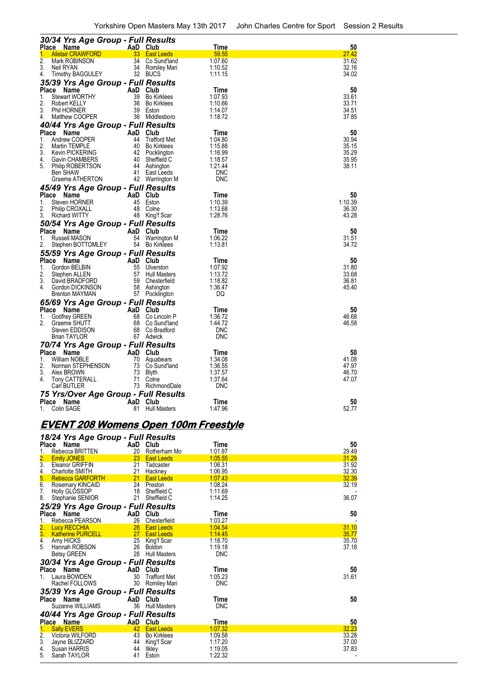| 30/34 Yrs Age Group - Full Results         |           |                                      |                    |                |
|--------------------------------------------|-----------|--------------------------------------|--------------------|----------------|
| <b>Name</b><br>Place                       |           | AaD Club                             | Time               | 50             |
| <b>Alistair CRAWFORD</b><br>1.<br>2.       | 33<br>34  | <b>East Leeds</b>                    | 59.55              | 27.42          |
| Mark ROBINSON<br>3.<br>Neil RYAN           | 34        | Co Sund'land<br>Romiley Mari         | 1:07.60<br>1:10.52 | 31.62<br>32.16 |
| <b>Timothy BAGGULEY</b><br>4.              |           | 32 BUCS                              | 1:11.15            | 34.02          |
| 35/39 Yrs Age Group - Full Results         |           |                                      |                    |                |
| Place<br>Name                              | AaD       | Club                                 | Time               | 50             |
| <b>Stewart WORTHY</b><br>1.                | 39        | <b>Bo Kirklees</b>                   | 1:07.93            | 33.61          |
| 2.<br>Robert KELLY                         | 36        | <b>Bo Kirklees</b>                   | 1:10.66            | 33.71          |
| 3.<br>Phil HORNER                          | 39        | Eston                                | 1:14.07            | 34.51          |
| Matthew COOPER<br>4.                       |           | 36 Middlesboro                       | 1:18.72            | 37.85          |
| 40/44 Yrs Age Group - Full Results         |           |                                      |                    |                |
| Place<br>Name                              |           | AaD Club                             | Time               | 50             |
| Andrew COOPER<br>1.<br>2.<br>Martin TEMPLE | 44<br>40  | <b>Trafford Met</b>                  | 1:04.80<br>1:15.88 | 30.94<br>35.15 |
| 3.<br><b>Kevin PICKERING</b>               |           | <b>Bo Kirklees</b><br>42 Pocklington | 1:16.99            | 35.29          |
| 4.<br>Gavin CHAMBERS                       |           | 40 Sheffield C                       | 1:18.57            | 35.95          |
| 5.<br>Philip ROBERTSON                     | 44        | Ashington                            | 1:21.44            | 38.11          |
| Ben SHAW                                   | 41        | East Leeds                           | <b>DNC</b>         |                |
| Graeme ATHERTON                            |           | 42 Warrington M                      | <b>DNC</b>         |                |
| 45/49 Yrs Age Group - Full Results         |           |                                      |                    |                |
| Place Name                                 | AaD       | Club                                 | Time               | 50             |
| 1.<br>Steven HORNER                        | 45        | Eston                                | 1:10.39            | 1:10.39        |
| 2.<br><b>Philip CROXALL</b>                | 48        | Colne                                | 1:13.68            | 36.30          |
| 3.<br><b>Richard WITTY</b>                 |           | 48 King'f Scar                       | 1:28.76            | 43.28          |
| 50/54 Yrs Age Group - Full Results         |           |                                      |                    |                |
| Place Name<br>1.<br>Russell MASON          | AaD<br>54 | Club<br><b>Warrington M</b>          | Time<br>1:06.22    | 50<br>31.51    |
| Stephen BOTTOMLEY<br>2.                    | 54        | <b>Bo Kirklees</b>                   | 1:13.81            | 34.72          |
| 55/59 Yrs Age Group - Full Results         |           |                                      |                    |                |
| <b>Place</b><br>Name                       | AaD       | Club                                 | Time               | 50             |
| 1.<br>Gordon BELBIN                        | 55        | Ulverston                            | 1:07.92            | 31.80          |
| 2.<br>Stephen ALLEN                        | 57        | <b>Hull Masters</b>                  | 1:13.72            | 33.68          |
| 3.<br>David BRADFORD                       | 59        | Chesterfield                         | 1:18.82            | 36.81          |
| 4<br>Gordon DICKINSON                      | 58        | Ashington                            | 1:36.47            | 45.40          |
| Brenton MAYMAN                             |           | 57 Pocklington                       | DQ                 |                |
| 65/69 Yrs Age Group - Full Results         |           |                                      |                    |                |
| <b>Place</b><br>Name                       | AaD       | Club                                 | Time               | 50             |
| Godfrey GREEN<br>1.<br>2.<br>Graeme SHUTT  | 68<br>68  | Co Lincoln P                         | 1:36.72<br>1:44.72 | 46.68<br>46.58 |
| Steven EDDISON                             | 68        | Co Sund'land<br>Co Bradford          | <b>DNC</b>         |                |
| <b>Brian TAYLOR</b>                        |           | 67 Adwick                            | DNC                |                |
| 70/74 Yrs Age Group - Full Results         |           |                                      |                    |                |
| Place<br>Name                              |           | AaD Club                             | Time               | 50             |
| <b>William NOBLE</b><br>1.                 | 70        | Aquabears                            | 1:34.08            | 41.08          |
| 2.<br>Norman STEPHENSON                    | 73        | Co Sund'land                         | 1:36.55            | 47.97          |
| 3.<br>Alex BROWN                           | 73        | Blyth                                | 1:37.57            | 46.70          |
| Tony CATTERALL<br>4.                       | 71        | Colne                                | 1:37.64            | 47.07          |
| Carl BUTLER                                | 73        | RichmondDale                         | <b>DNC</b>         |                |
| 75 Yrs/Over Age Group - Full Results       |           |                                      |                    |                |
| Place<br>Name<br>Colin SAGE<br>1.          | AaD<br>81 | Club<br><b>Hull Masters</b>          | Time<br>1:47.96    | 50<br>52.77    |
|                                            |           |                                      |                    |                |

# **EVENT 208 Womens Open 100m Freestyle**

|                    | 18/24 Yrs Age Group - Full Results |                 |                     |                 |             |
|--------------------|------------------------------------|-----------------|---------------------|-----------------|-------------|
| <b>Place</b><br>1. | Name<br>Rebecca BRITTEN            | AaD Club<br>20  | Rotherham Mo        | Time<br>1:01.97 | 50<br>29.49 |
|                    | <b>Emily JONES</b>                 | 23              | <b>East Leeds</b>   | 1:05.55         | 31.29       |
| $\frac{2}{3}$      | Eleanor GRIFFIN                    | 21              | Tadcaster           | 1:06.31         | 31.92       |
| <u>4.</u>          | Charlotte SMITH                    | 21              | Hackney             | 1:06.95         | 32.30       |
| 5.                 | <b>Rebecca GARFORTH</b>            | 21              | <b>East Leeds</b>   | 1:07.43         | 32.39       |
| 6.                 | Rosemary KINCAID                   |                 | 24 Preston          | 1:08.24         | 32.19       |
| 7.                 | <b>Holly GLOSSOP</b>               | 18              | Sheffield C         | 1:11.69         |             |
| 8.                 | Stephanie SENIOR                   | 21              | Sheffield C         | 1:14.25         | 36.07       |
|                    | 25/29 Yrs Age Group - Full Results |                 |                     |                 |             |
| <b>Place</b>       | Name                               | AaD             | Club                | Time            | 50          |
| 1.                 | Rebecca PEARSON                    | 26              | Chesterfield        | 1:03.27         |             |
| $\frac{2}{3}$      | <b>Lucy RECCHIA</b>                | 26              | <b>East Leeds</b>   | 1:04.54         | 31.10       |
|                    | <b>Katherine PURCELL</b>           | 27 <sub>2</sub> | <b>East Leeds</b>   | 1:14.45         | 35.77       |
| 4.                 | Amy HICKS                          | 25              | King'f Scar         | 1:18.70         | 35.70       |
| 5.                 | Hannah ROBSON                      | 26              | Boldon              | 1:19.18         | 37.18       |
|                    | <b>Betsy GREEN</b>                 | 28              | <b>Hull Masters</b> | <b>DNC</b>      |             |
|                    | 30/34 Yrs Age Group - Full Results |                 |                     |                 |             |
|                    | Place Name                         | AaD             | Club                | Time            | 50          |
| $1_{-}$            | Laura BOWDEN                       | 30              | <b>Trafford Met</b> | 1:05.23         | 31.61       |
|                    | Rachel FOLLOWS                     | 30              | Romiley Mari        | <b>DNC</b>      |             |
|                    | 35/39 Yrs Age Group - Full Results |                 |                     |                 |             |
| <b>Place</b>       | Name                               | AaD             | Club                | Time            | 50          |
|                    | Suzanne WILLIAMS                   | 36              | <b>Hull Masters</b> | <b>DNC</b>      |             |
|                    | 40/44 Yrs Age Group - Full Results |                 |                     |                 |             |
|                    | Place Name                         | AaD             | Club                | <u>Time</u>     | 50          |
| 1.                 | <b>Sally EVERS</b>                 | 42              | <b>East Leeds</b>   | 1:07.32         | 32.23       |
| $\overline{2}$ .   | Victoria WILFORD                   | 43              | <b>Bo Kirklees</b>  | 1:09.58         | 33.28       |
| 3.                 | Jayne BLIZZARD                     | 44              | King'f Scar         | 1:17.20         | 37.00       |
| 4.                 | Susan HARRIS                       | 44              | Ilkley              | 1:19.05         | 37.83       |
| 5.                 | Sarah TAYLOR                       | 41              | Eston               | 1:22.32         |             |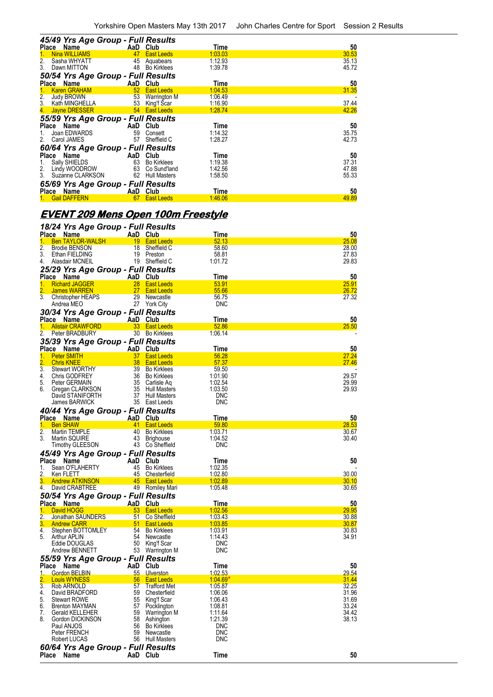|               | 45/49 Yrs Age Group - Full Results |                 |                     |         |       |
|---------------|------------------------------------|-----------------|---------------------|---------|-------|
|               | Place Name                         |                 | AaD Club            | Time    | 50    |
|               | <b>Nina WILLIAMS</b>               | 47              | <b>East Leeds</b>   | 1:03.03 | 30.53 |
| 2.            | Sasha WHYATT                       | 45              | Aquabears           | 1:12.93 | 35.13 |
| 3.            | Dawn MITTON                        |                 | 48 Bo Kirklees      | 1:39.78 | 45.72 |
|               | 50/54 Yrs Age Group - Full Results |                 |                     |         |       |
|               | Place Name                         |                 | AaD Club            | Time    | 50    |
|               | <b>Karen GRAHAM</b>                | 52 <sub>2</sub> | <b>East Leeds</b>   | 1:04.53 | 31.35 |
| $\frac{2}{3}$ | Judy BROWN                         |                 | 53 Warrington M     | 1:06.49 |       |
|               | Kath MINGHELLA                     |                 | 53 King'f Scar      | 1:16.90 | 37.44 |
| 4.            | Jayne DRESSER                      |                 | 54 East Leeds       | 1:28.74 | 42.26 |
|               | 55/59 Yrs Age Group - Full Results |                 |                     |         |       |
| Place         | Name                               | AaD             | Club                | Time    | 50    |
|               | Joan EDWARDS                       | 59              | Consett             | 1:14.32 | 35.75 |
| 2.            | Carol JAMES                        | 57              | Sheffield C         | 1:28.27 | 42.73 |
|               | 60/64 Yrs Age Group - Full Results |                 |                     |         |       |
| Place         | Name                               |                 | AaD Club            | Time    | 50    |
| 1.            | Sally SHIELDS                      | 63              | <b>Bo Kirklees</b>  | 1:19.38 | 37.31 |
| 2.            | Lindy WOODROW                      |                 | 63 Co Sund'land     | 1:42.56 | 47.88 |
| 3.            | Suzanne CLARKSON                   | 62              | <b>Hull Masters</b> | 1:58.50 | 55.33 |
|               | 65/69 Yrs Age Group - Full Results |                 |                     |         |       |
| Place         | <b>Name</b>                        |                 | AaD Club            | Time    | 50    |
|               | <b>Gail DAFFERN</b>                |                 |                     | 1:46.06 | 49.89 |

# **EVENT 209 Mens Open 100m Freestyle**

| 18/24 Yrs Age Group - Full Results                        |                 |                                        |                  |              |
|-----------------------------------------------------------|-----------------|----------------------------------------|------------------|--------------|
| Place Name<br><b>Ben TAYLOR-WALSH</b><br>1.               | AaD Club        | 19 East Leeds                          | Time<br>52.13    | 50<br>25.08  |
| 2.<br><b>Brodie BENSON</b>                                | 18              | Sheffield C                            | 58.60            | 28.00        |
| 3.<br>Ethan FIELDING                                      | 19              | Preston                                | 58.81            | 27.83        |
| 4.<br>Alasdair MCNEIL                                     |                 | 19 Sheffield C                         | 1:01.72          | 29.83        |
|                                                           |                 |                                        |                  |              |
| 25/29 Yrs Age Group - Full Results                        |                 |                                        |                  |              |
| Place Name                                                | AaD Club        |                                        | Time             | 50<br>25.91  |
| 1.<br><b>Richard JAGGER</b><br>2.<br>James WARREN         | 28<br>27        | <b>East Leeds</b><br><b>East Leeds</b> | 53.91<br>55.66   | 26.72        |
| 3.<br>Christopher HEAPS                                   | 29              | Newcastle                              | 56.75            | 27.32        |
| Andrea MEO                                                |                 | 27 York City                           | <b>DNC</b>       |              |
|                                                           |                 |                                        |                  |              |
| 30/34 Yrs Age Group - Full Results                        |                 |                                        |                  |              |
| Place Name<br><b>Alistair CRAWFORD</b>                    | AaD Club        |                                        | Time             | 50           |
| 1.<br>2.<br>Peter BRADBURY                                |                 | 33 East Leeds<br>30 Bo Kirklees        | 52.86<br>1:06.14 | 25.50        |
|                                                           |                 |                                        |                  |              |
| 35/39 Yrs Age Group - Full Results                        |                 |                                        |                  |              |
| Place Name                                                | AaD Club        |                                        | Time             | 50           |
| 1.<br><b>Peter SMITH</b>                                  | 37 <sup>2</sup> | <b>East Leeds</b>                      | 56.28            | 27.24        |
| $\overline{2}$ .<br><b>Chris KNEE</b><br>$\overline{3}$ . | 38              | <b>East Leeds</b>                      | 57.37            | 27.46        |
| <b>Stewart WORTHY</b><br>4.<br>Chris GODFREY              |                 | 39 Bo Kirklees<br>36 Bo Kirklees       | 59.50<br>1:01.90 | 29.57        |
| 5.<br>Peter GERMAIN                                       | 35              | Carlisle Aq                            | 1:02.54          | 29.99        |
| 6.<br>Gregan CLARKSON                                     | 35              | Hull Masters                           | 1:03.50          | 29.93        |
| David STANIFORTH                                          |                 | 37 Hull Masters                        | <b>DNC</b>       |              |
| James BARWICK                                             |                 | 35 East Leeds                          | <b>DNC</b>       |              |
| 40/44 Yrs Age Group - Full Results                        |                 |                                        |                  |              |
| Place Name                                                | AaD Club        |                                        | Time             | 50           |
| 1.<br><b>Ben SHAW</b>                                     |                 | 41 East Leeds                          | 59.80            | 28.53        |
| 2.<br>Martin TEMPLE                                       |                 | 40 Bo Kirklees                         | 1:03.71          | 30.67        |
| 3.<br>Martin SQUIRE                                       | 43              | <b>Brighouse</b>                       | 1:04.52          | 30.40        |
| <b>Timothy GLEESON</b>                                    |                 | 43 Co Sheffield                        | <b>DNC</b>       |              |
| 45/49 Yrs Age Group - Full Results                        |                 |                                        |                  |              |
| Place<br>Name                                             | AaD             | Club                                   | Time             | 50           |
| Sean O'FLAHERTY<br>1.                                     | 45              | Bo Kirklees                            | 1:02.35          |              |
| 2.<br>Ken FLETT                                           |                 | 45 Chesterfield                        | 1:02.80          | 30.00        |
| 3.<br><b>Andrew ATKINSON</b>                              |                 | 45 East Leeds                          | 1:02.89          | <b>30.10</b> |
| 4.<br>David CRABTREE                                      |                 | 49 Romiley Mari                        | 1:05.48          | 30.65        |
| 50/54 Yrs Age Group - Full Results                        |                 |                                        |                  |              |
| Place Name                                                | AaD Club        |                                        | Time             | 50           |
| 1.<br>David HOGG                                          |                 | 53 East Leeds                          | 1:02.56          | 29.95        |
| 2.<br>Jonathan SAUNDERS                                   | 51              | Co Sheffield                           | 1:03.43          | 30.88        |
| 3.<br><b>Andrew CARR</b>                                  |                 | 51 East Leeds                          | 1:03.85          | 30.87        |
| 4.<br>Stephen BOTTOMLEY                                   |                 | 54 Bo Kirklees                         | 1:03.91          | 30.83        |
| 5.<br><b>Arthur APLIN</b>                                 |                 | 54 Newcastle                           | 1:14.43          | 34.91        |
| Eddie DOUGLAS                                             |                 | 50 King'f Scar                         | <b>DNC</b>       |              |
| Andrew BENNETT                                            |                 | 53 Warrington M                        | <b>DNC</b>       |              |
| 55/59 Yrs Age Group - Full Results                        |                 |                                        |                  |              |
| Place<br><b>Name</b>                                      | AaD             | Club                                   | Time             | 50           |
| Gordon BELBIN<br>1.                                       | $55-$           | <b>Ulverston</b>                       | 1:02.53          | 29.54        |
| <b>Louis WYNESS</b>                                       | 56              | <b>East Leeds</b>                      | 1:04.69"         | 31.44        |
| 3.<br>Rob ARNOLD                                          | 57              | <b>Trafford Met</b>                    | 1:05.87          | 32.25        |
| David BRADFORD<br>4.                                      | 59              | Chesterfield                           | 1:06.06          | 31.96        |
| 5.<br><b>Stewart ROWE</b>                                 | 55              | King'f Scar                            | 1:06.43          | 31.69        |
| 6.<br><b>Brenton MAYMAN</b>                               | 57              | Pocklington                            | 1:08.81          | 33.24        |
| 7.<br><b>Gerald KELLEHER</b>                              | 59              | Warrington M                           | 1:11.64          | 34.42        |
| 8.<br>Gordon DICKINSON                                    | 58              | Ashington                              | 1:21.39          | 38.13        |
| Paul ANJOS                                                | 56              | <b>Bo Kirklees</b>                     | <b>DNC</b>       |              |
| Peter FRENCH                                              | 59              | Newcastle                              | <b>DNC</b>       |              |
| Robert LUCAS                                              |                 | 56 Hull Masters                        | <b>DNC</b>       |              |
| 60/64 Yrs Age Group - Full Results                        |                 |                                        |                  |              |
| Place<br>Name                                             | AaD Club        |                                        | <b>Time</b>      | 50           |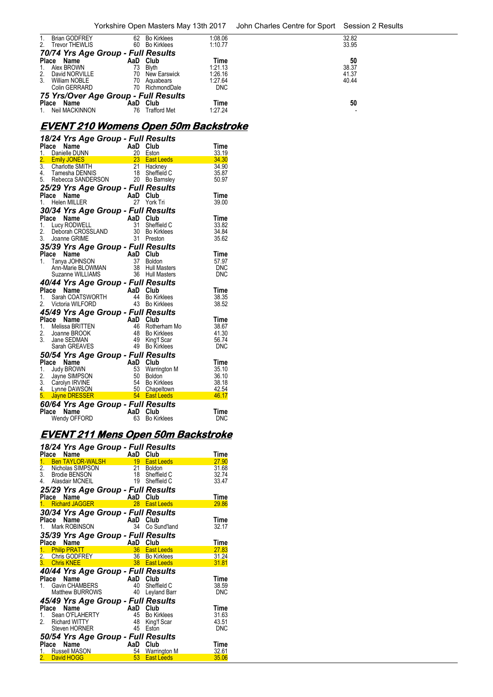| $1_{\cdot}$    | <b>Brian GODFREY</b>                 | 62 | Bo Kirklees         | 1:08.06    | 32.82 |  |  |  |
|----------------|--------------------------------------|----|---------------------|------------|-------|--|--|--|
| 2.             | <b>Trevor THEWLIS</b>                | 60 | Bo Kirklees         | 1:10.77    | 33.95 |  |  |  |
|                | 70/74 Yrs Age Group - Full Results   |    |                     |            |       |  |  |  |
|                | Place Name                           |    | AaD Club            | Time       | 50    |  |  |  |
| 1.             | Alex BROWN                           | 73 | <b>Blyth</b>        | 1:21.13    | 38.37 |  |  |  |
|                | 2. David NORVILLE                    | 70 | New Earswick        | 1:26.16    | 41.37 |  |  |  |
| 3 <sub>1</sub> | William NOBLE                        | 70 | Aguabears           | 1:27.64    | 40.44 |  |  |  |
|                | Colin GERRARD                        | 70 | RichmondDale        | <b>DNC</b> |       |  |  |  |
|                | 75 Yrs/Over Age Group - Full Results |    |                     |            |       |  |  |  |
| Place          | Name                                 |    | AaD Club            | Time       | 50    |  |  |  |
| $1_{\cdot}$    | Neil MACKINNON                       | 76 | <b>Trafford Met</b> | 1:27.24    |       |  |  |  |

# **EVENT 210 Womens Open 50m Backstroke**

|       | 18/24 Yrs Age Group - Full Results                                                                                                                                                          |                             |          |                                                  |                |
|-------|---------------------------------------------------------------------------------------------------------------------------------------------------------------------------------------------|-----------------------------|----------|--------------------------------------------------|----------------|
|       | Place Name AaD Club<br>1. Danielle DUNN<br>2. Emily JONES<br>2. 2. Emily JONES<br>3. Charlotte SMITH<br>4. Tamesha DENNIS<br>5. Rebecca SANDERSON<br>5. Rebecca SANDERSON<br>20 Bo Barnsley |                             |          |                                                  | Time<br>33.19  |
|       |                                                                                                                                                                                             |                             |          |                                                  | 34.30          |
|       |                                                                                                                                                                                             |                             |          |                                                  | 34.90          |
|       |                                                                                                                                                                                             |                             |          |                                                  | 35.87          |
|       |                                                                                                                                                                                             |                             |          |                                                  | 50.97          |
|       | 25/29 Yrs Age Group - Full Results                                                                                                                                                          |                             |          |                                                  |                |
|       | Place Name                                                                                                                                                                                  |                             | AaD Club |                                                  | Time           |
|       | 1. Helen MILLER                                                                                                                                                                             |                             |          | 27 York Tri                                      | 39.00          |
|       | 30/34 Yrs Age Group - Full Results                                                                                                                                                          |                             |          |                                                  |                |
|       |                                                                                                                                                                                             |                             | AaD Club |                                                  | Time           |
|       |                                                                                                                                                                                             |                             | 31       | Sheffield C                                      | 33.82          |
|       |                                                                                                                                                                                             |                             | 30       | <b>Bo Kirklees</b>                               | 34.84          |
|       | A<br>2. Lucy RODWELL<br>2. Deborah CROSSLAND<br>3. Joanne GRIME<br>35/30 V                                                                                                                  |                             |          | 31 Preston                                       | 35.62          |
|       | 35/39 Yrs Age Group - Full Results                                                                                                                                                          |                             |          |                                                  |                |
|       |                                                                                                                                                                                             |                             |          | Club                                             | <b>Time</b>    |
|       |                                                                                                                                                                                             |                             |          | <b>Boldon</b>                                    | 57.97          |
|       |                                                                                                                                                                                             |                             |          | <b>Hull Masters</b>                              | DNC            |
|       | <b>Place Name AaD</b><br>1. Tanya JOHNSON 37<br>Ann-Marie BLOWMAN 38<br>Suzanne WILLIAMS 36                                                                                                 |                             |          | <b>Hull Masters</b>                              | <b>DNC</b>     |
|       | <b>40/44 Yrs Age Group - Full Results<br/>Place Name AaD Club<br/>1. Sarah COATSWORTH 44 Bo Kirklees</b>                                                                                    |                             |          |                                                  |                |
|       |                                                                                                                                                                                             |                             |          |                                                  | Time           |
|       |                                                                                                                                                                                             |                             |          |                                                  | 38.35          |
|       | 2. Victoria WILFORD                                                                                                                                                                         |                             |          | 43 Bo Kirklees                                   | 38.52          |
|       | 45/49 Yrs Age Group - Full Results                                                                                                                                                          |                             |          |                                                  |                |
| Place | Name                                                                                                                                                                                        | AaD<br>46<br>48<br>49<br>49 | AaD      | Club                                             | Time           |
|       | 1. Melissa BRITTEN                                                                                                                                                                          |                             |          | Rotherham Mo<br><b>Bo Kirklees</b>               | 38.67<br>41.30 |
|       | 2. Joanne BROOK<br>3. Jane SEDMAN<br>3. Jane SEDMAN                                                                                                                                         |                             |          | King'f Scar                                      | 56.74          |
|       | Sarah GREAVES                                                                                                                                                                               |                             | 49       | <b>Bo Kirklees</b>                               | DNC            |
|       | 50/54 Yrs Age Group - Full Results                                                                                                                                                          |                             |          |                                                  |                |
| Place | Name                                                                                                                                                                                        |                             | AaD      | Club                                             | Time           |
| 1.    | Judy BROWN                                                                                                                                                                                  |                             | 53       | Warrington M                                     | 35.10          |
|       | 2. Jayne SIMPSON                                                                                                                                                                            |                             | 50       | <b>Boldon</b>                                    | 36.10          |
|       | 3. Carolyn IRVINE                                                                                                                                                                           |                             |          | <b>Bo Kirklees</b>                               | 38.18          |
|       | 4. Lynne DAWSON                                                                                                                                                                             |                             |          | Chapeltown                                       | 42.54          |
|       | 5. Jáyne DRESSER                                                                                                                                                                            |                             |          | 54 Bo Kirklees<br>50 Chapeltown<br>54 East Leeds | 46.17          |
|       | 60/64 Yrs Age Group - Full Results                                                                                                                                                          |                             |          |                                                  |                |
|       | Place Name                                                                                                                                                                                  |                             | AaD Club |                                                  | Time           |
|       | Wendy OFFORD                                                                                                                                                                                |                             | 63       | <b>Bo Kirklees</b>                               | DNC            |

# **EVENT 211 Mens Open 50m Backstroke**

| Place | 18/24 Yrs Age Group - Full Results<br>Name                                                                                                  | AaD             | Club               | Time           |
|-------|---------------------------------------------------------------------------------------------------------------------------------------------|-----------------|--------------------|----------------|
|       |                                                                                                                                             |                 |                    | 27.90          |
|       | 1. Ben TAYLOR-WALSH 1911 East Leeus<br>2. Nicholas SIMPSON 21 Boldon<br>3. Brodie BENSON 18 Sheffield C<br>4 Alasdair MCNEIL 19 Sheffield C |                 |                    | 31.68<br>32.74 |
|       |                                                                                                                                             |                 |                    | 33.47          |
|       | 25/29 Yrs Age Group - Full Results                                                                                                          |                 |                    |                |
|       | Place Name                                                                                                                                  | AaD Club        |                    | <b>Time</b>    |
|       | <b>Example 18 September 2016</b><br>Richard JAGGER                                                                                          |                 | 28 East Leeds      | 29.86          |
|       | 30/34 Yrs Age Group - Full Results                                                                                                          |                 |                    |                |
|       | <b>riace Name</b><br>1. Mark ROBINSON                                                                                                       | AaD             | Club               | Time           |
|       |                                                                                                                                             | 34              | Co Sund'land       | 32.17          |
|       | 35/39 Yrs Age Group - Full Results                                                                                                          |                 |                    |                |
|       |                                                                                                                                             | AaD             | Club               | <b>Time</b>    |
|       | – – – I <b>val∏e</b><br><mark>1. Philip PRATT</mark><br>2. Chris COST –                                                                     |                 |                    | 27.83<br>31.24 |
|       | Place Name<br>1. Philip PRATT 36 Bast Leeus<br>2. Chris GODFREY 38 Bast Leeds<br>2. Chris MATE 38 Bast Leeds                                |                 |                    | 31.81          |
|       |                                                                                                                                             |                 |                    |                |
|       | <b>40/44 Yrs Age Group - Full Results<br/>Place Name AaD Club<br/>1. Gavin CHAMBERS 40 Sheffield C<br/>Matthew BURROWS 40 Leyland Barr</b>  |                 |                    | Time           |
|       |                                                                                                                                             |                 |                    | 38.59          |
|       |                                                                                                                                             |                 |                    | <b>DNC</b>     |
|       | 45/49 Yrs Age Group - Full Results                                                                                                          |                 |                    |                |
| Place | Name                                                                                                                                        | AaD Club        |                    | Time           |
|       | 1. Sean O'FLAHERTY                                                                                                                          | 45              | <b>Bo Kirklees</b> | 31.63          |
|       | 2. Richard WITTY                                                                                                                            | $\frac{48}{45}$ | King'f Scar        | 43.51          |
|       | Steven HORNER                                                                                                                               |                 | Eston              | <b>DNC</b>     |
| Place | 50/54 Yrs Age Group - Full Results<br>Name                                                                                                  | AaD Club        |                    | Time           |
|       | 1. Russell MASON                                                                                                                            |                 | 54 Warrington M    | 32.61          |
|       | 2. David HOGG                                                                                                                               |                 | 53 East Leeds      | 35.06          |